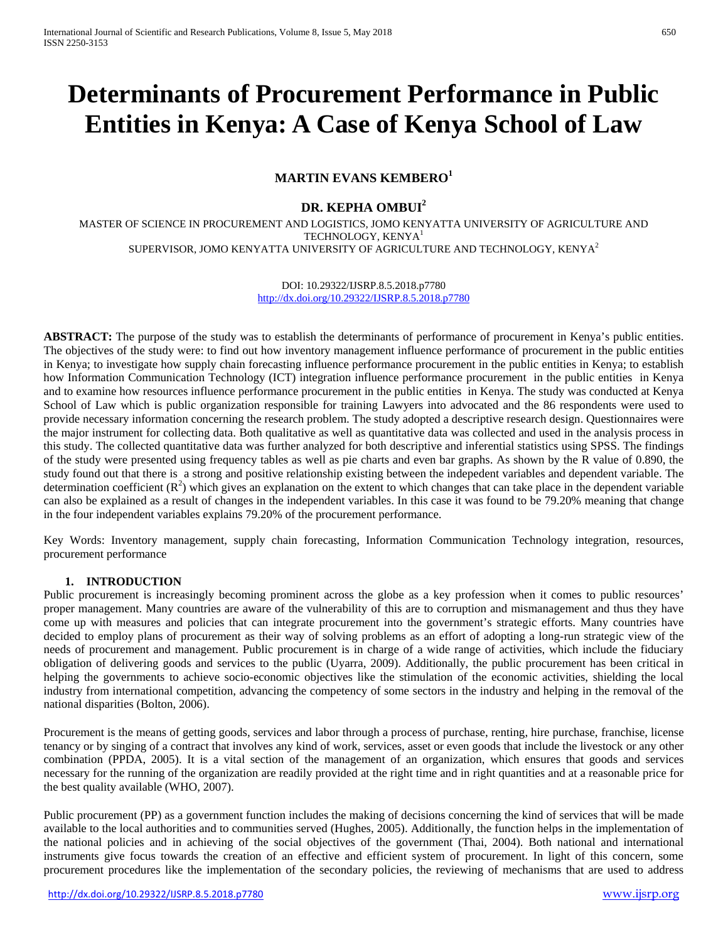# **Determinants of Procurement Performance in Public Entities in Kenya: A Case of Kenya School of Law**

# **MARTIN EVANS KEMBERO1**

# **DR. KEPHA OMBUI<sup>2</sup>**

MASTER OF SCIENCE IN PROCUREMENT AND LOGISTICS, JOMO KENYATTA UNIVERSITY OF AGRICULTURE AND TECHNOLOGY, KENYA1 SUPERVISOR, JOMO KENYATTA UNIVERSITY OF AGRICULTURE AND TECHNOLOGY, KENYA<sup>2</sup>

> DOI: 10.29322/IJSRP.8.5.2018.p7780 <http://dx.doi.org/10.29322/IJSRP.8.5.2018.p7780>

**ABSTRACT:** The purpose of the study was to establish the determinants of performance of procurement in Kenya's public entities. The objectives of the study were: to find out how inventory management influence performance of procurement in the public entities in Kenya; to investigate how supply chain forecasting influence performance procurement in the public entities in Kenya; to establish how Information Communication Technology (ICT) integration influence performance procurement in the public entities in Kenya and to examine how resources influence performance procurement in the public entities in Kenya. The study was conducted at Kenya School of Law which is public organization responsible for training Lawyers into advocated and the 86 respondents were used to provide necessary information concerning the research problem. The study adopted a descriptive research design. Questionnaires were the major instrument for collecting data. Both qualitative as well as quantitative data was collected and used in the analysis process in this study. The collected quantitative data was further analyzed for both descriptive and inferential statistics using SPSS. The findings of the study were presented using frequency tables as well as pie charts and even bar graphs. As shown by the R value of 0.890, the study found out that there is a strong and positive relationship existing between the indepedent variables and dependent variable. The determination coefficient  $(R^2)$  which gives an explanation on the extent to which changes that can take place in the dependent variable can also be explained as a result of changes in the independent variables. In this case it was found to be 79.20% meaning that change in the four independent variables explains 79.20% of the procurement performance.

Key Words: Inventory management, supply chain forecasting, Information Communication Technology integration, resources, procurement performance

# **1. INTRODUCTION**

Public procurement is increasingly becoming prominent across the globe as a key profession when it comes to public resources' proper management. Many countries are aware of the vulnerability of this are to corruption and mismanagement and thus they have come up with measures and policies that can integrate procurement into the government's strategic efforts. Many countries have decided to employ plans of procurement as their way of solving problems as an effort of adopting a long-run strategic view of the needs of procurement and management. Public procurement is in charge of a wide range of activities, which include the fiduciary obligation of delivering goods and services to the public (Uyarra, 2009). Additionally, the public procurement has been critical in helping the governments to achieve socio-economic objectives like the stimulation of the economic activities, shielding the local industry from international competition, advancing the competency of some sectors in the industry and helping in the removal of the national disparities (Bolton, 2006).

Procurement is the means of getting goods, services and labor through a process of purchase, renting, hire purchase, franchise, license tenancy or by singing of a contract that involves any kind of work, services, asset or even goods that include the livestock or any other combination (PPDA, 2005). It is a vital section of the management of an organization, which ensures that goods and services necessary for the running of the organization are readily provided at the right time and in right quantities and at a reasonable price for the best quality available (WHO, 2007).

Public procurement (PP) as a government function includes the making of decisions concerning the kind of services that will be made available to the local authorities and to communities served (Hughes, 2005). Additionally, the function helps in the implementation of the national policies and in achieving of the social objectives of the government (Thai, 2004). Both national and international instruments give focus towards the creation of an effective and efficient system of procurement. In light of this concern, some procurement procedures like the implementation of the secondary policies, the reviewing of mechanisms that are used to address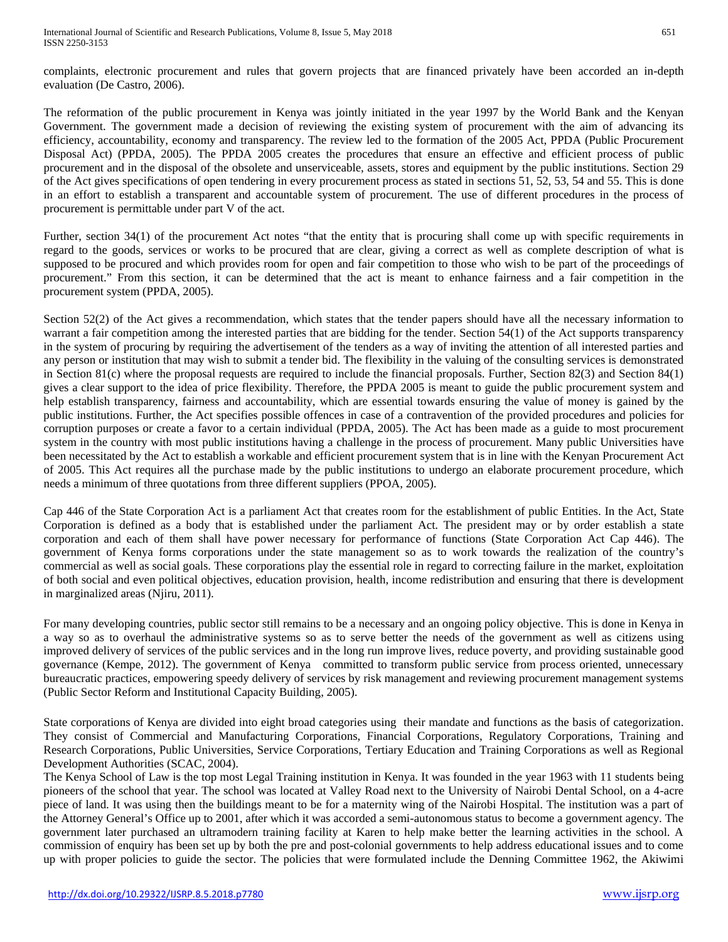complaints, electronic procurement and rules that govern projects that are financed privately have been accorded an in-depth evaluation (De Castro, 2006).

The reformation of the public procurement in Kenya was jointly initiated in the year 1997 by the World Bank and the Kenyan Government. The government made a decision of reviewing the existing system of procurement with the aim of advancing its efficiency, accountability, economy and transparency. The review led to the formation of the 2005 Act, PPDA (Public Procurement Disposal Act) (PPDA, 2005). The PPDA 2005 creates the procedures that ensure an effective and efficient process of public procurement and in the disposal of the obsolete and unserviceable, assets, stores and equipment by the public institutions. Section 29 of the Act gives specifications of open tendering in every procurement process as stated in sections 51, 52, 53, 54 and 55. This is done in an effort to establish a transparent and accountable system of procurement. The use of different procedures in the process of procurement is permittable under part V of the act.

Further, section 34(1) of the procurement Act notes "that the entity that is procuring shall come up with specific requirements in regard to the goods, services or works to be procured that are clear, giving a correct as well as complete description of what is supposed to be procured and which provides room for open and fair competition to those who wish to be part of the proceedings of procurement." From this section, it can be determined that the act is meant to enhance fairness and a fair competition in the procurement system (PPDA, 2005).

Section 52(2) of the Act gives a recommendation, which states that the tender papers should have all the necessary information to warrant a fair competition among the interested parties that are bidding for the tender. Section 54(1) of the Act supports transparency in the system of procuring by requiring the advertisement of the tenders as a way of inviting the attention of all interested parties and any person or institution that may wish to submit a tender bid. The flexibility in the valuing of the consulting services is demonstrated in Section 81(c) where the proposal requests are required to include the financial proposals. Further, Section 82(3) and Section 84(1) gives a clear support to the idea of price flexibility. Therefore, the PPDA 2005 is meant to guide the public procurement system and help establish transparency, fairness and accountability, which are essential towards ensuring the value of money is gained by the public institutions. Further, the Act specifies possible offences in case of a contravention of the provided procedures and policies for corruption purposes or create a favor to a certain individual (PPDA, 2005). The Act has been made as a guide to most procurement system in the country with most public institutions having a challenge in the process of procurement. Many public Universities have been necessitated by the Act to establish a workable and efficient procurement system that is in line with the Kenyan Procurement Act of 2005. This Act requires all the purchase made by the public institutions to undergo an elaborate procurement procedure, which needs a minimum of three quotations from three different suppliers (PPOA, 2005).

Cap 446 of the State Corporation Act is a parliament Act that creates room for the establishment of public Entities. In the Act, State Corporation is defined as a body that is established under the parliament Act. The president may or by order establish a state corporation and each of them shall have power necessary for performance of functions (State Corporation Act Cap 446). The government of Kenya forms corporations under the state management so as to work towards the realization of the country's commercial as well as social goals. These corporations play the essential role in regard to correcting failure in the market, exploitation of both social and even political objectives, education provision, health, income redistribution and ensuring that there is development in marginalized areas (Njiru, 2011).

For many developing countries, public sector still remains to be a necessary and an ongoing policy objective. This is done in Kenya in a way so as to overhaul the administrative systems so as to serve better the needs of the government as well as citizens using improved delivery of services of the public services and in the long run improve lives, reduce poverty, and providing sustainable good governance (Kempe, 2012). The government of Kenya committed to transform public service from process oriented, unnecessary bureaucratic practices, empowering speedy delivery of services by risk management and reviewing procurement management systems (Public Sector Reform and Institutional Capacity Building, 2005).

State corporations of Kenya are divided into eight broad categories using their mandate and functions as the basis of categorization. They consist of Commercial and Manufacturing Corporations, Financial Corporations, Regulatory Corporations, Training and Research Corporations, Public Universities, Service Corporations, Tertiary Education and Training Corporations as well as Regional Development Authorities (SCAC, 2004).

The Kenya School of Law is the top most Legal Training institution in Kenya. It was founded in the year 1963 with 11 students being pioneers of the school that year. The school was located at Valley Road next to the University of Nairobi Dental School, on a 4-acre piece of land. It was using then the buildings meant to be for a maternity wing of the Nairobi Hospital. The institution was a part of the Attorney General's Office up to 2001, after which it was accorded a semi-autonomous status to become a government agency. The government later purchased an ultramodern training facility at Karen to help make better the learning activities in the school. A commission of enquiry has been set up by both the pre and post-colonial governments to help address educational issues and to come up with proper policies to guide the sector. The policies that were formulated include the Denning Committee 1962, the Akiwimi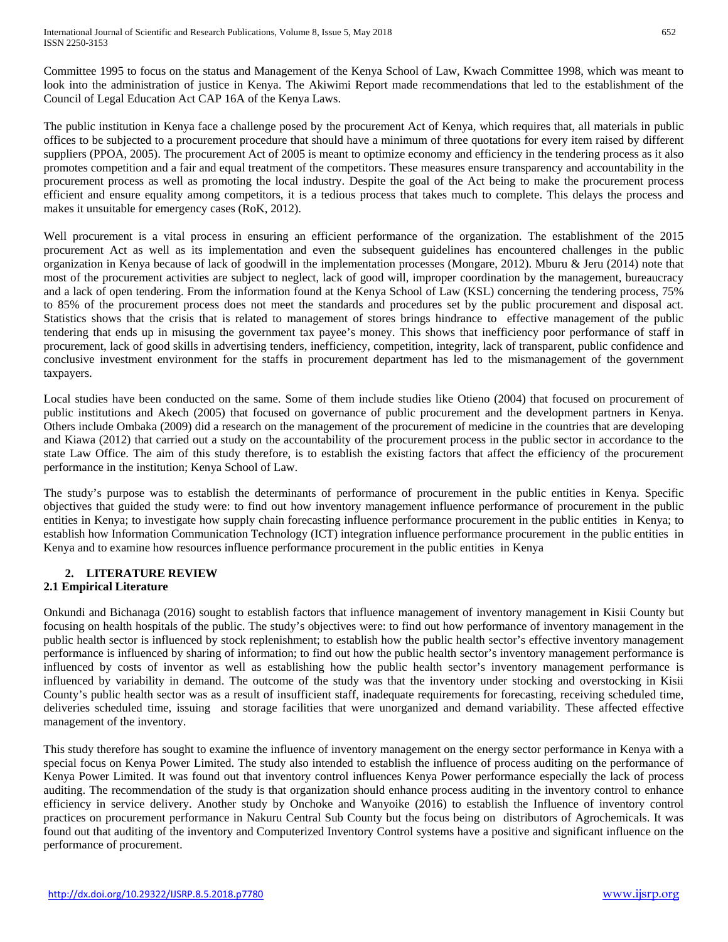Committee 1995 to focus on the status and Management of the Kenya School of Law, Kwach Committee 1998, which was meant to look into the administration of justice in Kenya. The Akiwimi Report made recommendations that led to the establishment of the Council of Legal Education Act CAP 16A of the Kenya Laws.

The public institution in Kenya face a challenge posed by the procurement Act of Kenya, which requires that, all materials in public offices to be subjected to a procurement procedure that should have a minimum of three quotations for every item raised by different suppliers (PPOA, 2005). The procurement Act of 2005 is meant to optimize economy and efficiency in the tendering process as it also promotes competition and a fair and equal treatment of the competitors. These measures ensure transparency and accountability in the procurement process as well as promoting the local industry. Despite the goal of the Act being to make the procurement process efficient and ensure equality among competitors, it is a tedious process that takes much to complete. This delays the process and makes it unsuitable for emergency cases (RoK, 2012).

Well procurement is a vital process in ensuring an efficient performance of the organization. The establishment of the 2015 procurement Act as well as its implementation and even the subsequent guidelines has encountered challenges in the public organization in Kenya because of lack of goodwill in the implementation processes (Mongare, 2012). Mburu & Jeru (2014) note that most of the procurement activities are subject to neglect, lack of good will, improper coordination by the management, bureaucracy and a lack of open tendering. From the information found at the Kenya School of Law (KSL) concerning the tendering process, 75% to 85% of the procurement process does not meet the standards and procedures set by the public procurement and disposal act. Statistics shows that the crisis that is related to management of stores brings hindrance to effective management of the public tendering that ends up in misusing the government tax payee's money. This shows that inefficiency poor performance of staff in procurement, lack of good skills in advertising tenders, inefficiency, competition, integrity, lack of transparent, public confidence and conclusive investment environment for the staffs in procurement department has led to the mismanagement of the government taxpayers.

Local studies have been conducted on the same. Some of them include studies like Otieno (2004) that focused on procurement of public institutions and Akech (2005) that focused on governance of public procurement and the development partners in Kenya. Others include Ombaka (2009) did a research on the management of the procurement of medicine in the countries that are developing and Kiawa (2012) that carried out a study on the accountability of the procurement process in the public sector in accordance to the state Law Office. The aim of this study therefore, is to establish the existing factors that affect the efficiency of the procurement performance in the institution; Kenya School of Law.

The study's purpose was to establish the determinants of performance of procurement in the public entities in Kenya. Specific objectives that guided the study were: to find out how inventory management influence performance of procurement in the public entities in Kenya; to investigate how supply chain forecasting influence performance procurement in the public entities in Kenya; to establish how Information Communication Technology (ICT) integration influence performance procurement in the public entities in Kenya and to examine how resources influence performance procurement in the public entities in Kenya

# **2. LITERATURE REVIEW**

# **2.1 Empirical Literature**

Onkundi and Bichanaga (2016) sought to establish factors that influence management of inventory management in Kisii County but focusing on health hospitals of the public. The study's objectives were: to find out how performance of inventory management in the public health sector is influenced by stock replenishment; to establish how the public health sector's effective inventory management performance is influenced by sharing of information; to find out how the public health sector's inventory management performance is influenced by costs of inventor as well as establishing how the public health sector's inventory management performance is influenced by variability in demand. The outcome of the study was that the inventory under stocking and overstocking in Kisii County's public health sector was as a result of insufficient staff, inadequate requirements for forecasting, receiving scheduled time, deliveries scheduled time, issuing and storage facilities that were unorganized and demand variability. These affected effective management of the inventory.

This study therefore has sought to examine the influence of inventory management on the energy sector performance in Kenya with a special focus on Kenya Power Limited. The study also intended to establish the influence of process auditing on the performance of Kenya Power Limited. It was found out that inventory control influences Kenya Power performance especially the lack of process auditing. The recommendation of the study is that organization should enhance process auditing in the inventory control to enhance efficiency in service delivery. Another study by Onchoke and Wanyoike (2016) to establish the Influence of inventory control practices on procurement performance in Nakuru Central Sub County but the focus being on distributors of Agrochemicals. It was found out that auditing of the inventory and Computerized Inventory Control systems have a positive and significant influence on the performance of procurement.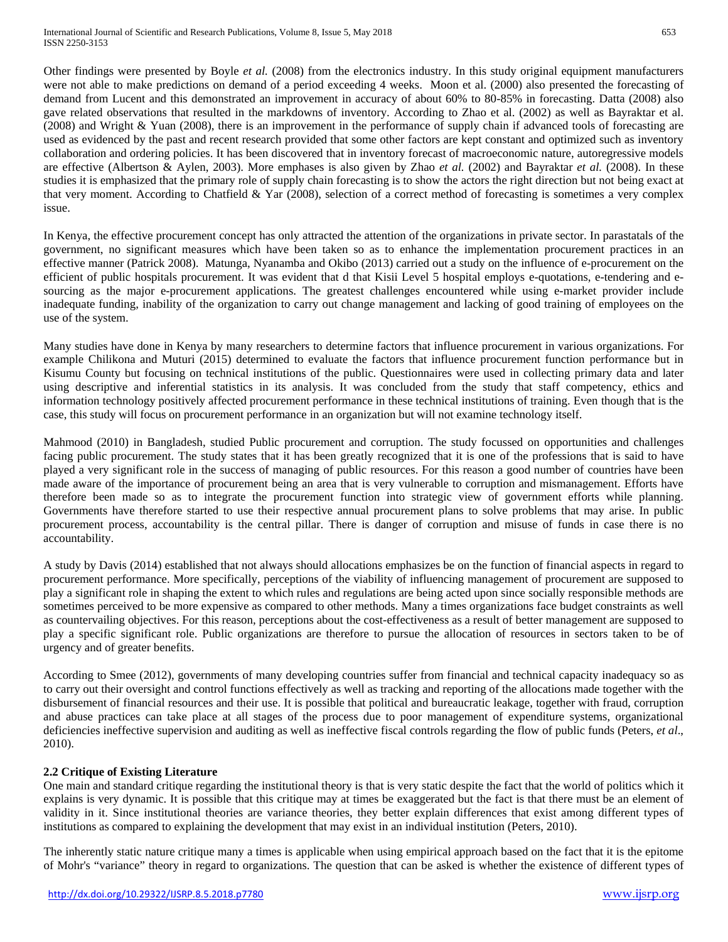Other findings were presented by Boyle *et al.* (2008) from the electronics industry. In this study original equipment manufacturers were not able to make predictions on demand of a period exceeding 4 weeks. Moon et al. (2000) also presented the forecasting of demand from Lucent and this demonstrated an improvement in accuracy of about 60% to 80-85% in forecasting. Datta (2008) also gave related observations that resulted in the markdowns of inventory. According to Zhao et al. (2002) as well as Bayraktar et al. (2008) and Wright & Yuan (2008), there is an improvement in the performance of supply chain if advanced tools of forecasting are used as evidenced by the past and recent research provided that some other factors are kept constant and optimized such as inventory collaboration and ordering policies. It has been discovered that in inventory forecast of macroeconomic nature, autoregressive models are effective (Albertson & Aylen, 2003). More emphases is also given by Zhao *et al.* (2002) and Bayraktar *et al.* (2008). In these studies it is emphasized that the primary role of supply chain forecasting is to show the actors the right direction but not being exact at that very moment. According to Chatfield & Yar (2008), selection of a correct method of forecasting is sometimes a very complex issue.

In Kenya, the effective procurement concept has only attracted the attention of the organizations in private sector. In parastatals of the government, no significant measures which have been taken so as to enhance the implementation procurement practices in an effective manner (Patrick 2008). Matunga, Nyanamba and Okibo (2013) carried out a study on the influence of e-procurement on the efficient of public hospitals procurement. It was evident that d that Kisii Level 5 hospital employs e-quotations, e-tendering and esourcing as the major e-procurement applications. The greatest challenges encountered while using e-market provider include inadequate funding, inability of the organization to carry out change management and lacking of good training of employees on the use of the system.

Many studies have done in Kenya by many researchers to determine factors that influence procurement in various organizations. For example Chilikona and Muturi (2015) determined to evaluate the factors that influence procurement function performance but in Kisumu County but focusing on technical institutions of the public. Questionnaires were used in collecting primary data and later using descriptive and inferential statistics in its analysis. It was concluded from the study that staff competency, ethics and information technology positively affected procurement performance in these technical institutions of training. Even though that is the case, this study will focus on procurement performance in an organization but will not examine technology itself.

Mahmood (2010) in Bangladesh, studied Public procurement and corruption. The study focussed on opportunities and challenges facing public procurement. The study states that it has been greatly recognized that it is one of the professions that is said to have played a very significant role in the success of managing of public resources. For this reason a good number of countries have been made aware of the importance of procurement being an area that is very vulnerable to corruption and mismanagement. Efforts have therefore been made so as to integrate the procurement function into strategic view of government efforts while planning. Governments have therefore started to use their respective annual procurement plans to solve problems that may arise. In public procurement process, accountability is the central pillar. There is danger of corruption and misuse of funds in case there is no accountability.

A study by Davis (2014) established that not always should allocations emphasizes be on the function of financial aspects in regard to procurement performance. More specifically, perceptions of the viability of influencing management of procurement are supposed to play a significant role in shaping the extent to which rules and regulations are being acted upon since socially responsible methods are sometimes perceived to be more expensive as compared to other methods. Many a times organizations face budget constraints as well as countervailing objectives. For this reason, perceptions about the cost-effectiveness as a result of better management are supposed to play a specific significant role. Public organizations are therefore to pursue the allocation of resources in sectors taken to be of urgency and of greater benefits.

According to Smee (2012), governments of many developing countries suffer from financial and technical capacity inadequacy so as to carry out their oversight and control functions effectively as well as tracking and reporting of the allocations made together with the disbursement of financial resources and their use. It is possible that political and bureaucratic leakage, together with fraud, corruption and abuse practices can take place at all stages of the process due to poor management of expenditure systems, organizational deficiencies ineffective supervision and auditing as well as ineffective fiscal controls regarding the flow of public funds (Peters, *et al*., 2010).

# **2.2 Critique of Existing Literature**

One main and standard critique regarding the institutional theory is that is very static despite the fact that the world of politics which it explains is very dynamic. It is possible that this critique may at times be exaggerated but the fact is that there must be an element of validity in it. Since institutional theories are variance theories, they better explain differences that exist among different types of institutions as compared to explaining the development that may exist in an individual institution (Peters, 2010).

The inherently static nature critique many a times is applicable when using empirical approach based on the fact that it is the epitome of Mohr's "variance" theory in regard to organizations. The question that can be asked is whether the existence of different types of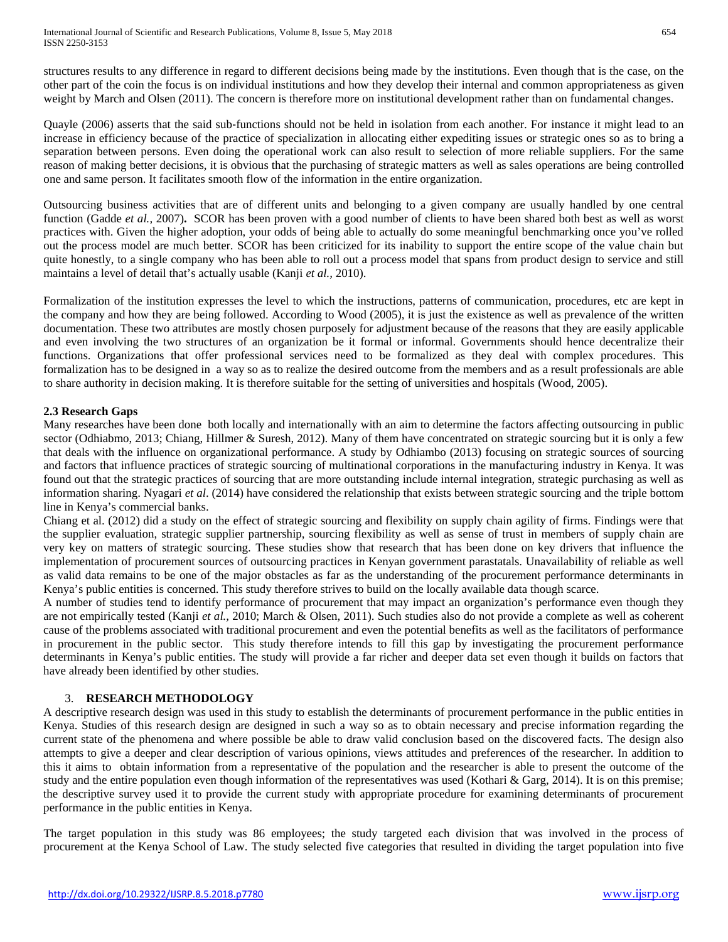structures results to any difference in regard to different decisions being made by the institutions. Even though that is the case, on the other part of the coin the focus is on individual institutions and how they develop their internal and common appropriateness as given weight by March and Olsen (2011). The concern is therefore more on institutional development rather than on fundamental changes.

Quayle (2006) asserts that the said sub‐functions should not be held in isolation from each another. For instance it might lead to an increase in efficiency because of the practice of specialization in allocating either expediting issues or strategic ones so as to bring a separation between persons. Even doing the operational work can also result to selection of more reliable suppliers. For the same reason of making better decisions, it is obvious that the purchasing of strategic matters as well as sales operations are being controlled one and same person. It facilitates smooth flow of the information in the entire organization.

Outsourcing business activities that are of different units and belonging to a given company are usually handled by one central function (Gadde *et al.,* 2007)**.** SCOR has been proven with a good number of clients to have been shared both best as well as worst practices with. Given the higher adoption, your odds of being able to actually do some meaningful benchmarking once you've rolled out the process model are much better. SCOR has been criticized for its inability to support the entire scope of the value chain but quite honestly, to a single company who has been able to roll out a process model that spans from product design to service and still maintains a level of detail that's actually usable (Kanji *et al.,* 2010).

Formalization of the institution expresses the level to which the instructions, patterns of communication, procedures, etc are kept in the company and how they are being followed. According to Wood (2005), it is just the existence as well as prevalence of the written documentation. These two attributes are mostly chosen purposely for adjustment because of the reasons that they are easily applicable and even involving the two structures of an organization be it formal or informal. Governments should hence decentralize their functions. Organizations that offer professional services need to be formalized as they deal with complex procedures. This formalization has to be designed in a way so as to realize the desired outcome from the members and as a result professionals are able to share authority in decision making. It is therefore suitable for the setting of universities and hospitals (Wood, 2005).

# **2.3 Research Gaps**

Many researches have been done both locally and internationally with an aim to determine the factors affecting outsourcing in public sector (Odhiabmo, 2013; Chiang, Hillmer & Suresh, 2012). Many of them have concentrated on strategic sourcing but it is only a few that deals with the influence on organizational performance. A study by Odhiambo (2013) focusing on strategic sources of sourcing and factors that influence practices of strategic sourcing of multinational corporations in the manufacturing industry in Kenya. It was found out that the strategic practices of sourcing that are more outstanding include internal integration, strategic purchasing as well as information sharing. Nyagari *et al*. (2014) have considered the relationship that exists between strategic sourcing and the triple bottom line in Kenya's commercial banks.

Chiang et al. (2012) did a study on the effect of strategic sourcing and flexibility on supply chain agility of firms. Findings were that the supplier evaluation, strategic supplier partnership, sourcing flexibility as well as sense of trust in members of supply chain are very key on matters of strategic sourcing. These studies show that research that has been done on key drivers that influence the implementation of procurement sources of outsourcing practices in Kenyan government parastatals. Unavailability of reliable as well as valid data remains to be one of the major obstacles as far as the understanding of the procurement performance determinants in Kenya's public entities is concerned. This study therefore strives to build on the locally available data though scarce.

A number of studies tend to identify performance of procurement that may impact an organization's performance even though they are not empirically tested (Kanji *et al.,* 2010; March & Olsen, 2011). Such studies also do not provide a complete as well as coherent cause of the problems associated with traditional procurement and even the potential benefits as well as the facilitators of performance in procurement in the public sector. This study therefore intends to fill this gap by investigating the procurement performance determinants in Kenya's public entities. The study will provide a far richer and deeper data set even though it builds on factors that have already been identified by other studies.

# 3. **RESEARCH METHODOLOGY**

A descriptive research design was used in this study to establish the determinants of procurement performance in the public entities in Kenya. Studies of this research design are designed in such a way so as to obtain necessary and precise information regarding the current state of the phenomena and where possible be able to draw valid conclusion based on the discovered facts. The design also attempts to give a deeper and clear description of various opinions, views attitudes and preferences of the researcher. In addition to this it aims to obtain information from a representative of the population and the researcher is able to present the outcome of the study and the entire population even though information of the representatives was used (Kothari  $\&$  Garg, 2014). It is on this premise; the descriptive survey used it to provide the current study with appropriate procedure for examining determinants of procurement performance in the public entities in Kenya.

The target population in this study was 86 employees; the study targeted each division that was involved in the process of procurement at the Kenya School of Law. The study selected five categories that resulted in dividing the target population into five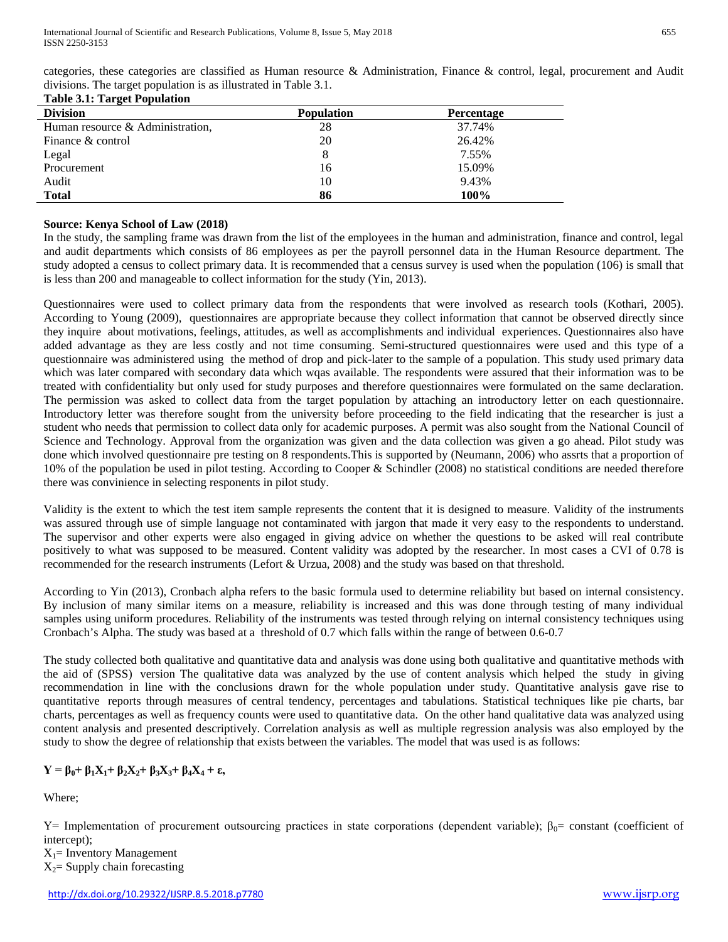| categories, these categories are classified as Human resource & Administration, Finance & control, legal, procurement and Audit |  |
|---------------------------------------------------------------------------------------------------------------------------------|--|
| divisions. The target population is as illustrated in Table 3.1.                                                                |  |
| <b>Table 3.1: Target Population</b>                                                                                             |  |

| <b>Division</b>                  | <b>Population</b> | <b>Percentage</b> |  |
|----------------------------------|-------------------|-------------------|--|
| Human resource & Administration. | 28                | 37.74%            |  |
| Finance & control                | 20                | 26.42%            |  |
| Legal                            |                   | 7.55%             |  |
| Procurement                      | 16                | 15.09%            |  |
| Audit                            | 10                | 9.43%             |  |
| <b>Total</b>                     | 86                | 100%              |  |

# **Source: Kenya School of Law (2018)**

In the study, the sampling frame was drawn from the list of the employees in the human and administration, finance and control, legal and audit departments which consists of 86 employees as per the payroll personnel data in the Human Resource department. The study adopted a census to collect primary data. It is recommended that a census survey is used when the population (106) is small that is less than 200 and manageable to collect information for the study (Yin, 2013).

Questionnaires were used to collect primary data from the respondents that were involved as research tools (Kothari, 2005). According to Young (2009), questionnaires are appropriate because they collect information that cannot be observed directly since they inquire about motivations, feelings, attitudes, as well as accomplishments and individual experiences. Questionnaires also have added advantage as they are less costly and not time consuming. Semi-structured questionnaires were used and this type of a questionnaire was administered using the method of drop and pick-later to the sample of a population. This study used primary data which was later compared with secondary data which wqas available. The respondents were assured that their information was to be treated with confidentiality but only used for study purposes and therefore questionnaires were formulated on the same declaration. The permission was asked to collect data from the target population by attaching an introductory letter on each questionnaire. Introductory letter was therefore sought from the university before proceeding to the field indicating that the researcher is just a student who needs that permission to collect data only for academic purposes. A permit was also sought from the National Council of Science and Technology. Approval from the organization was given and the data collection was given a go ahead. Pilot study was done which involved questionnaire pre testing on 8 respondents.This is supported by (Neumann, 2006) who assrts that a proportion of 10% of the population be used in pilot testing. According to Cooper & Schindler (2008) no statistical conditions are needed therefore there was convinience in selecting responents in pilot study.

Validity is the extent to which the test item sample represents the content that it is designed to measure. Validity of the instruments was assured through use of simple language not contaminated with jargon that made it very easy to the respondents to understand. The supervisor and other experts were also engaged in giving advice on whether the questions to be asked will real contribute positively to what was supposed to be measured. Content validity was adopted by the researcher. In most cases a CVI of 0.78 is recommended for the research instruments (Lefort & Urzua, 2008) and the study was based on that threshold.

According to Yin (2013), Cronbach alpha refers to the basic formula used to determine reliability but based on internal consistency. By inclusion of many similar items on a measure, reliability is increased and this was done through testing of many individual samples using uniform procedures. Reliability of the instruments was tested through relying on internal consistency techniques using Cronbach's Alpha. The study was based at a threshold of 0.7 which falls within the range of between 0.6-0.7

The study collected both qualitative and quantitative data and analysis was done using both qualitative and quantitative methods with the aid of (SPSS) version The qualitative data was analyzed by the use of content analysis which helped the study in giving recommendation in line with the conclusions drawn for the whole population under study. Quantitative analysis gave rise to quantitative reports through measures of central tendency, percentages and tabulations. Statistical techniques like pie charts, bar charts, percentages as well as frequency counts were used to quantitative data. On the other hand qualitative data was analyzed using content analysis and presented descriptively. Correlation analysis as well as multiple regression analysis was also employed by the study to show the degree of relationship that exists between the variables. The model that was used is as follows:

# **Y = β0+ β1X1+ β2X2+ β3X3+ β4X4 + ε,**

Where;

Y= Implementation of procurement outsourcing practices in state corporations (dependent variable);  $β_0$ = constant (coefficient of intercept);

 $X_1$ = Inventory Management  $X_2$ = Supply chain forecasting

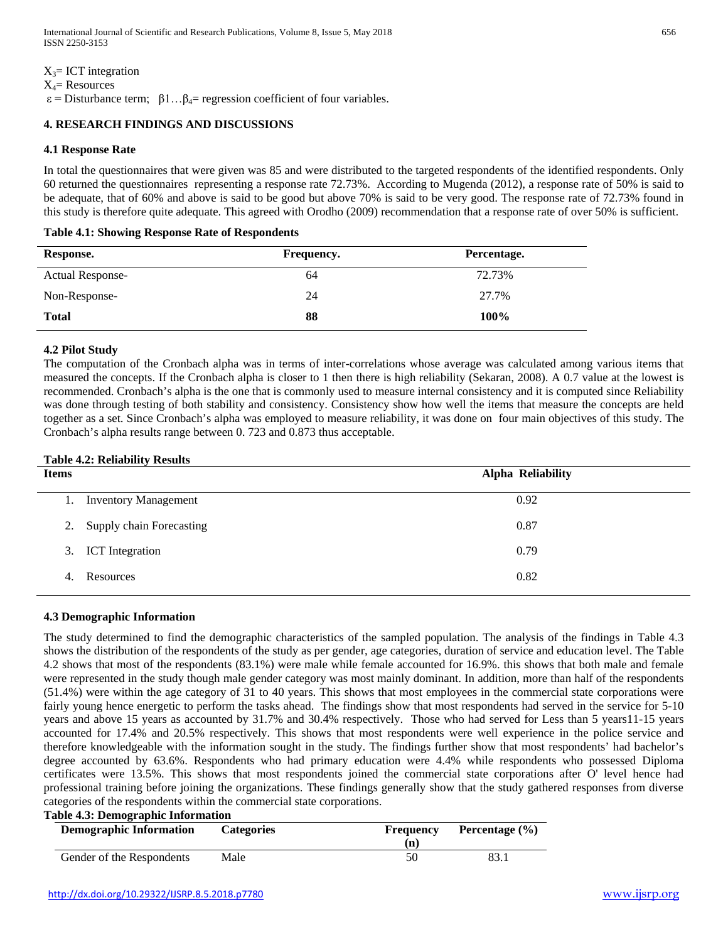$X_3$ = ICT integration

 $X_4$ = Resources

 $\varepsilon$  = Disturbance term;  $\beta$ 1... $\beta$ <sub>4</sub>= regression coefficient of four variables.

# **4. RESEARCH FINDINGS AND DISCUSSIONS**

#### **4.1 Response Rate**

In total the questionnaires that were given was 85 and were distributed to the targeted respondents of the identified respondents. Only 60 returned the questionnaires representing a response rate 72.73%. According to Mugenda (2012), a response rate of 50% is said to be adequate, that of 60% and above is said to be good but above 70% is said to be very good. The response rate of 72.73% found in this study is therefore quite adequate. This agreed with Orodho (2009) recommendation that a response rate of over 50% is sufficient.

#### **Table 4.1: Showing Response Rate of Respondents**

| Response.               | <b>Frequency.</b> | Percentage. |
|-------------------------|-------------------|-------------|
| <b>Actual Response-</b> | 64                | 72.73%      |
| Non-Response-           | 24                | 27.7%       |
| <b>Total</b>            | 88                | 100%        |

## **4.2 Pilot Study**

The computation of the Cronbach alpha was in terms of inter-correlations whose average was calculated among various items that measured the concepts. If the Cronbach alpha is closer to 1 then there is high reliability (Sekaran, 2008). A 0.7 value at the lowest is recommended. Cronbach's alpha is the one that is commonly used to measure internal consistency and it is computed since Reliability was done through testing of both stability and consistency. Consistency show how well the items that measure the concepts are held together as a set. Since Cronbach's alpha was employed to measure reliability, it was done on four main objectives of this study. The Cronbach's alpha results range between 0. 723 and 0.873 thus acceptable.

#### **Table 4.2: Reliability Results**

| <b>Items</b> |                             | <b>Alpha Reliability</b> |  |
|--------------|-----------------------------|--------------------------|--|
| 1.           | <b>Inventory Management</b> | 0.92                     |  |
|              | 2. Supply chain Forecasting | 0.87                     |  |
|              | 3. ICT Integration          | 0.79                     |  |
| 4.           | Resources                   | 0.82                     |  |

#### **4.3 Demographic Information**

The study determined to find the demographic characteristics of the sampled population. The analysis of the findings in Table 4.3 shows the distribution of the respondents of the study as per gender, age categories, duration of service and education level. The Table 4.2 shows that most of the respondents (83.1%) were male while female accounted for 16.9%. this shows that both male and female were represented in the study though male gender category was most mainly dominant. In addition, more than half of the respondents (51.4%) were within the age category of 31 to 40 years. This shows that most employees in the commercial state corporations were fairly young hence energetic to perform the tasks ahead. The findings show that most respondents had served in the service for 5-10 years and above 15 years as accounted by 31.7% and 30.4% respectively. Those who had served for Less than 5 years11-15 years accounted for 17.4% and 20.5% respectively. This shows that most respondents were well experience in the police service and therefore knowledgeable with the information sought in the study. The findings further show that most respondents' had bachelor's degree accounted by 63.6%. Respondents who had primary education were 4.4% while respondents who possessed Diploma certificates were 13.5%. This shows that most respondents joined the commercial state corporations after O' level hence had professional training before joining the organizations. These findings generally show that the study gathered responses from diverse categories of the respondents within the commercial state corporations.

## **Table 4.3: Demographic Information**

| <b>Demographic Information</b> | <b>Categories</b> | Frequency<br>n) | Percentage $(\% )$ |
|--------------------------------|-------------------|-----------------|--------------------|
| Gender of the Respondents      | Male              | 50              |                    |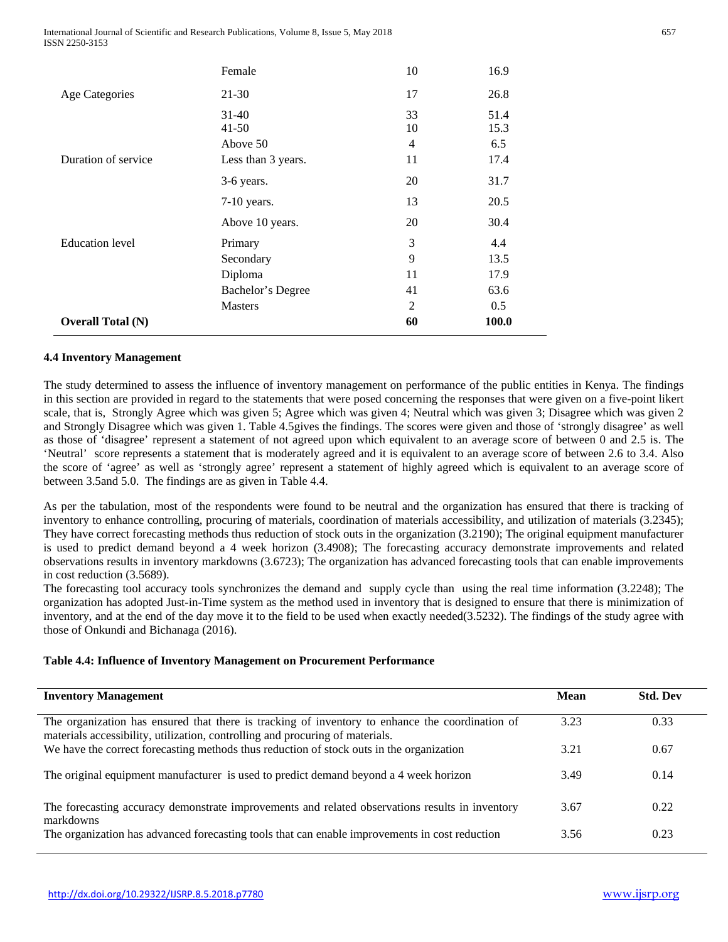International Journal of Scientific and Research Publications, Volume 8, Issue 5, May 2018 ISSN 2250-3153

|                          | Female                         | 10            | 16.9                |
|--------------------------|--------------------------------|---------------|---------------------|
| <b>Age Categories</b>    | 21-30                          | 17            | 26.8                |
|                          | 31-40<br>$41 - 50$<br>Above 50 | 33<br>10<br>4 | 51.4<br>15.3<br>6.5 |
| Duration of service      | Less than 3 years.             | 11            | 17.4                |
|                          | 3-6 years.                     | 20            | 31.7                |
|                          | $7-10$ years.                  | 13            | 20.5                |
|                          | Above 10 years.                | 20            | 30.4                |
| <b>Education</b> level   | Primary                        | 3             | 4.4                 |
|                          | Secondary                      | 9             | 13.5                |
|                          | Diploma                        | 11            | 17.9                |
|                          | Bachelor's Degree              | 41            | 63.6                |
|                          | <b>Masters</b>                 | 2             | 0.5                 |
| <b>Overall Total (N)</b> |                                | 60            | <b>100.0</b>        |

## **4.4 Inventory Management**

The study determined to assess the influence of inventory management on performance of the public entities in Kenya. The findings in this section are provided in regard to the statements that were posed concerning the responses that were given on a five-point likert scale, that is, Strongly Agree which was given 5; Agree which was given 4; Neutral which was given 3; Disagree which was given 2 and Strongly Disagree which was given 1. Table 4.5gives the findings. The scores were given and those of 'strongly disagree' as well as those of 'disagree' represent a statement of not agreed upon which equivalent to an average score of between 0 and 2.5 is. The 'Neutral' score represents a statement that is moderately agreed and it is equivalent to an average score of between 2.6 to 3.4. Also the score of 'agree' as well as 'strongly agree' represent a statement of highly agreed which is equivalent to an average score of between 3.5and 5.0. The findings are as given in Table 4.4.

As per the tabulation, most of the respondents were found to be neutral and the organization has ensured that there is tracking of inventory to enhance controlling, procuring of materials, coordination of materials accessibility, and utilization of materials (3.2345); They have correct forecasting methods thus reduction of stock outs in the organization (3.2190); The original equipment manufacturer is used to predict demand beyond a 4 week horizon (3.4908); The forecasting accuracy demonstrate improvements and related observations results in inventory markdowns (3.6723); The organization has advanced forecasting tools that can enable improvements in cost reduction (3.5689).

The forecasting tool accuracy tools synchronizes the demand and supply cycle than using the real time information (3.2248); The organization has adopted Just-in-Time system as the method used in inventory that is designed to ensure that there is minimization of inventory, and at the end of the day move it to the field to be used when exactly needed(3.5232). The findings of the study agree with those of Onkundi and Bichanaga (2016).

#### **Table 4.4: Influence of Inventory Management on Procurement Performance**

| <b>Inventory Management</b>                                                                                                                                                      | Mean | <b>Std. Dev</b> |
|----------------------------------------------------------------------------------------------------------------------------------------------------------------------------------|------|-----------------|
| The organization has ensured that there is tracking of inventory to enhance the coordination of<br>materials accessibility, utilization, controlling and procuring of materials. | 3.23 | 0.33            |
| We have the correct forecasting methods thus reduction of stock outs in the organization                                                                                         | 3.21 | 0.67            |
| The original equipment manufacturer is used to predict demand beyond a 4 week horizon                                                                                            | 3.49 | 0.14            |
| The forecasting accuracy demonstrate improvements and related observations results in inventory<br>markdowns                                                                     | 3.67 | 0.22            |
| The organization has advanced forecasting tools that can enable improvements in cost reduction                                                                                   | 3.56 | 0.23            |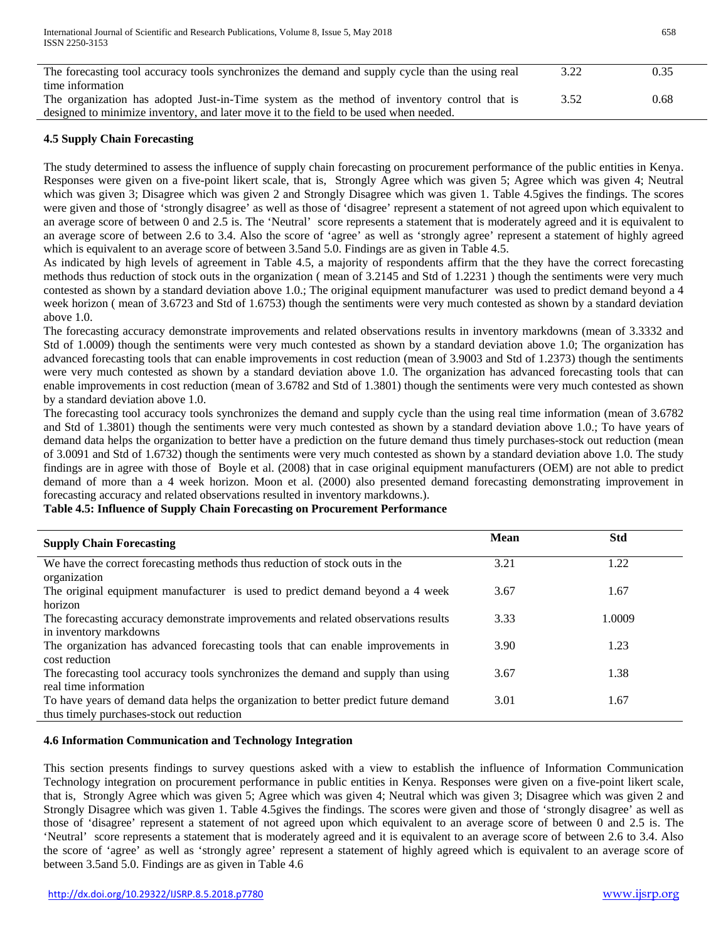| The forecasting tool accuracy tools synchronizes the demand and supply cycle than the using real | 3.22 | 0.35 |
|--------------------------------------------------------------------------------------------------|------|------|
| time information                                                                                 |      |      |
| The organization has adopted Just-in-Time system as the method of inventory control that is      | 3.52 | 0.68 |
| designed to minimize inventory, and later move it to the field to be used when needed.           |      |      |

# **4.5 Supply Chain Forecasting**

The study determined to assess the influence of supply chain forecasting on procurement performance of the public entities in Kenya. Responses were given on a five-point likert scale, that is, Strongly Agree which was given 5; Agree which was given 4; Neutral which was given 3; Disagree which was given 2 and Strongly Disagree which was given 1. Table 4.5gives the findings. The scores were given and those of 'strongly disagree' as well as those of 'disagree' represent a statement of not agreed upon which equivalent to an average score of between 0 and 2.5 is. The 'Neutral' score represents a statement that is moderately agreed and it is equivalent to an average score of between 2.6 to 3.4. Also the score of 'agree' as well as 'strongly agree' represent a statement of highly agreed which is equivalent to an average score of between 3.5and 5.0. Findings are as given in Table 4.5.

As indicated by high levels of agreement in Table 4.5, a majority of respondents affirm that the they have the correct forecasting methods thus reduction of stock outs in the organization ( mean of 3.2145 and Std of 1.2231 ) though the sentiments were very much contested as shown by a standard deviation above 1.0.; The original equipment manufacturer was used to predict demand beyond a 4 week horizon ( mean of 3.6723 and Std of 1.6753) though the sentiments were very much contested as shown by a standard deviation above 1.0.

The forecasting accuracy demonstrate improvements and related observations results in inventory markdowns (mean of 3.3332 and Std of 1.0009) though the sentiments were very much contested as shown by a standard deviation above 1.0; The organization has advanced forecasting tools that can enable improvements in cost reduction (mean of 3.9003 and Std of 1.2373) though the sentiments were very much contested as shown by a standard deviation above 1.0. The organization has advanced forecasting tools that can enable improvements in cost reduction (mean of 3.6782 and Std of 1.3801) though the sentiments were very much contested as shown by a standard deviation above 1.0.

The forecasting tool accuracy tools synchronizes the demand and supply cycle than the using real time information (mean of 3.6782 and Std of 1.3801) though the sentiments were very much contested as shown by a standard deviation above 1.0.; To have years of demand data helps the organization to better have a prediction on the future demand thus timely purchases-stock out reduction (mean of 3.0091 and Std of 1.6732) though the sentiments were very much contested as shown by a standard deviation above 1.0. The study findings are in agree with those of Boyle et al. (2008) that in case original equipment manufacturers (OEM) are not able to predict demand of more than a 4 week horizon. Moon et al. (2000) also presented demand forecasting demonstrating improvement in forecasting accuracy and related observations resulted in inventory markdowns.).

# **Table 4.5: Influence of Supply Chain Forecasting on Procurement Performance**

| <b>Supply Chain Forecasting</b>                                                                                                  | <b>Mean</b> | <b>Std</b> |
|----------------------------------------------------------------------------------------------------------------------------------|-------------|------------|
| We have the correct forecasting methods thus reduction of stock outs in the<br>organization                                      | 3.21        | 1.22       |
| The original equipment manufacturer is used to predict demand beyond a 4 week<br>horizon                                         | 3.67        | 1.67       |
| The forecasting accuracy demonstrate improvements and related observations results<br>in inventory markdowns                     | 3.33        | 1.0009     |
| The organization has advanced forecasting tools that can enable improvements in<br>cost reduction                                | 3.90        | 1.23       |
| The forecasting tool accuracy tools synchronizes the demand and supply than using<br>real time information                       | 3.67        | 1.38       |
| To have years of demand data helps the organization to better predict future demand<br>thus timely purchases-stock out reduction | 3.01        | 1.67       |

## **4.6 Information Communication and Technology Integration**

This section presents findings to survey questions asked with a view to establish the influence of Information Communication Technology integration on procurement performance in public entities in Kenya. Responses were given on a five-point likert scale, that is, Strongly Agree which was given 5; Agree which was given 4; Neutral which was given 3; Disagree which was given 2 and Strongly Disagree which was given 1. Table 4.5gives the findings. The scores were given and those of 'strongly disagree' as well as those of 'disagree' represent a statement of not agreed upon which equivalent to an average score of between 0 and 2.5 is. The 'Neutral' score represents a statement that is moderately agreed and it is equivalent to an average score of between 2.6 to 3.4. Also the score of 'agree' as well as 'strongly agree' represent a statement of highly agreed which is equivalent to an average score of between 3.5and 5.0. Findings are as given in Table 4.6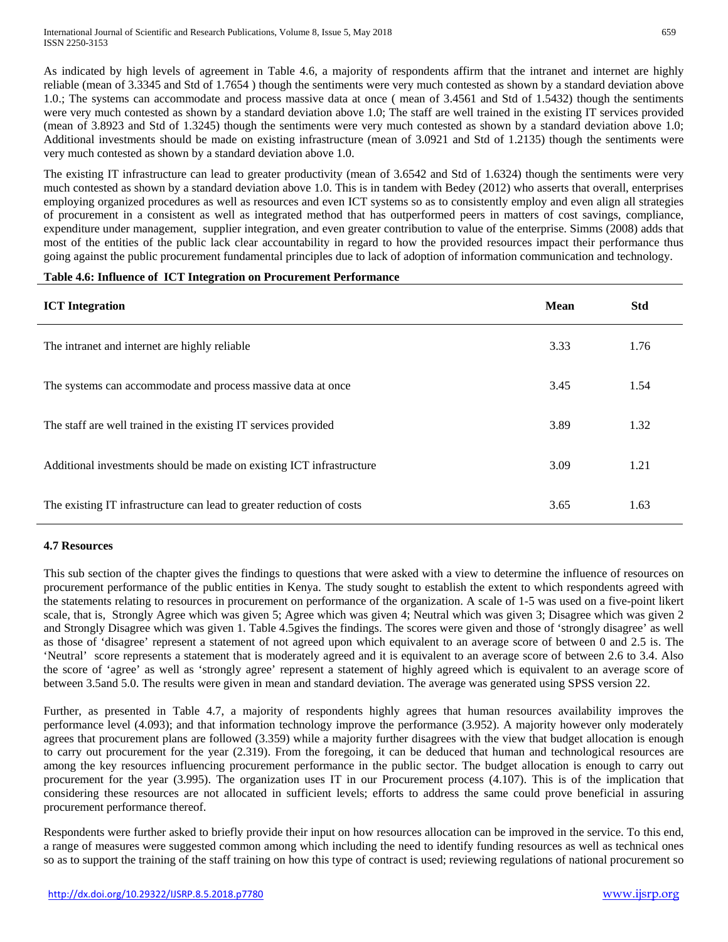As indicated by high levels of agreement in Table 4.6, a majority of respondents affirm that the intranet and internet are highly reliable (mean of 3.3345 and Std of 1.7654 ) though the sentiments were very much contested as shown by a standard deviation above 1.0.; The systems can accommodate and process massive data at once ( mean of 3.4561 and Std of 1.5432) though the sentiments were very much contested as shown by a standard deviation above 1.0; The staff are well trained in the existing IT services provided (mean of 3.8923 and Std of 1.3245) though the sentiments were very much contested as shown by a standard deviation above 1.0; Additional investments should be made on existing infrastructure (mean of 3.0921 and Std of 1.2135) though the sentiments were very much contested as shown by a standard deviation above 1.0.

The existing IT infrastructure can lead to greater productivity (mean of 3.6542 and Std of 1.6324) though the sentiments were very much contested as shown by a standard deviation above 1.0. This is in tandem with Bedey (2012) who asserts that overall, enterprises employing organized procedures as well as resources and even ICT systems so as to consistently employ and even align all strategies of procurement in a consistent as well as integrated method that has outperformed peers in matters of cost savings, compliance, expenditure under management, supplier integration, and even greater contribution to value of the enterprise. Simms (2008) adds that most of the entities of the public lack clear accountability in regard to how the provided resources impact their performance thus going against the public procurement fundamental principles due to lack of adoption of information communication and technology.

# **Table 4.6: Influence of ICT Integration on Procurement Performance**

| <b>ICT</b> Integration                                                | <b>Mean</b> | <b>Std</b> |
|-----------------------------------------------------------------------|-------------|------------|
| The intranet and internet are highly reliable                         | 3.33        | 1.76       |
| The systems can accommodate and process massive data at once          | 3.45        | 1.54       |
| The staff are well trained in the existing IT services provided       | 3.89        | 1.32       |
| Additional investments should be made on existing ICT infrastructure  | 3.09        | 1.21       |
| The existing IT infrastructure can lead to greater reduction of costs | 3.65        | 1.63       |

## **4.7 Resources**

This sub section of the chapter gives the findings to questions that were asked with a view to determine the influence of resources on procurement performance of the public entities in Kenya. The study sought to establish the extent to which respondents agreed with the statements relating to resources in procurement on performance of the organization. A scale of 1-5 was used on a five-point likert scale, that is, Strongly Agree which was given 5; Agree which was given 4; Neutral which was given 3; Disagree which was given 2 and Strongly Disagree which was given 1. Table 4.5gives the findings. The scores were given and those of 'strongly disagree' as well as those of 'disagree' represent a statement of not agreed upon which equivalent to an average score of between 0 and 2.5 is. The 'Neutral' score represents a statement that is moderately agreed and it is equivalent to an average score of between 2.6 to 3.4. Also the score of 'agree' as well as 'strongly agree' represent a statement of highly agreed which is equivalent to an average score of between 3.5and 5.0. The results were given in mean and standard deviation. The average was generated using SPSS version 22.

Further, as presented in Table 4.7, a majority of respondents highly agrees that human resources availability improves the performance level (4.093); and that information technology improve the performance (3.952). A majority however only moderately agrees that procurement plans are followed (3.359) while a majority further disagrees with the view that budget allocation is enough to carry out procurement for the year (2.319). From the foregoing, it can be deduced that human and technological resources are among the key resources influencing procurement performance in the public sector. The budget allocation is enough to carry out procurement for the year (3.995). The organization uses IT in our Procurement process (4.107). This is of the implication that considering these resources are not allocated in sufficient levels; efforts to address the same could prove beneficial in assuring procurement performance thereof.

Respondents were further asked to briefly provide their input on how resources allocation can be improved in the service. To this end, a range of measures were suggested common among which including the need to identify funding resources as well as technical ones so as to support the training of the staff training on how this type of contract is used; reviewing regulations of national procurement so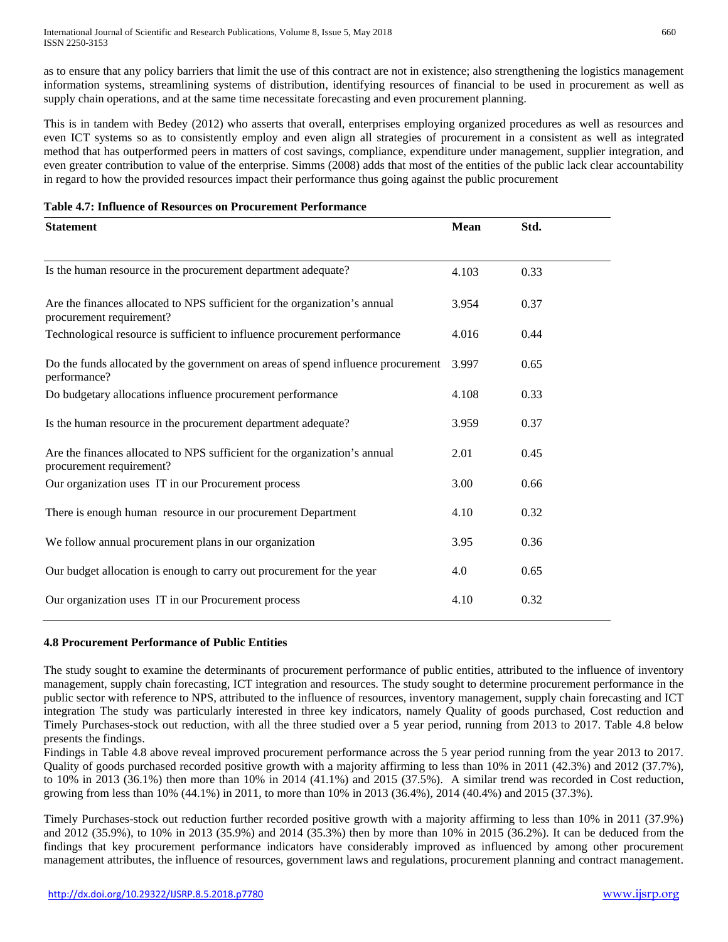as to ensure that any policy barriers that limit the use of this contract are not in existence; also strengthening the logistics management information systems, streamlining systems of distribution, identifying resources of financial to be used in procurement as well as supply chain operations, and at the same time necessitate forecasting and even procurement planning.

This is in tandem with Bedey (2012) who asserts that overall, enterprises employing organized procedures as well as resources and even ICT systems so as to consistently employ and even align all strategies of procurement in a consistent as well as integrated method that has outperformed peers in matters of cost savings, compliance, expenditure under management, supplier integration, and even greater contribution to value of the enterprise. Simms (2008) adds that most of the entities of the public lack clear accountability in regard to how the provided resources impact their performance thus going against the public procurement

## **Table 4.7: Influence of Resources on Procurement Performance**

| <b>Statement</b>                                                                                       | <b>Mean</b> | Std. |  |
|--------------------------------------------------------------------------------------------------------|-------------|------|--|
| Is the human resource in the procurement department adequate?                                          | 4.103       | 0.33 |  |
| Are the finances allocated to NPS sufficient for the organization's annual<br>procurement requirement? | 3.954       | 0.37 |  |
| Technological resource is sufficient to influence procurement performance                              | 4.016       | 0.44 |  |
| Do the funds allocated by the government on areas of spend influence procurement<br>performance?       | 3.997       | 0.65 |  |
| Do budgetary allocations influence procurement performance                                             | 4.108       | 0.33 |  |
| Is the human resource in the procurement department adequate?                                          | 3.959       | 0.37 |  |
| Are the finances allocated to NPS sufficient for the organization's annual<br>procurement requirement? | 2.01        | 0.45 |  |
| Our organization uses IT in our Procurement process                                                    | 3.00        | 0.66 |  |
| There is enough human resource in our procurement Department                                           | 4.10        | 0.32 |  |
| We follow annual procurement plans in our organization                                                 | 3.95        | 0.36 |  |
| Our budget allocation is enough to carry out procurement for the year                                  | 4.0         | 0.65 |  |
| Our organization uses IT in our Procurement process                                                    | 4.10        | 0.32 |  |

# **4.8 Procurement Performance of Public Entities**

The study sought to examine the determinants of procurement performance of public entities, attributed to the influence of inventory management, supply chain forecasting, ICT integration and resources. The study sought to determine procurement performance in the public sector with reference to NPS, attributed to the influence of resources, inventory management, supply chain forecasting and ICT integration The study was particularly interested in three key indicators, namely Quality of goods purchased, Cost reduction and Timely Purchases-stock out reduction, with all the three studied over a 5 year period, running from 2013 to 2017. Table 4.8 below presents the findings.

Findings in Table 4.8 above reveal improved procurement performance across the 5 year period running from the year 2013 to 2017. Quality of goods purchased recorded positive growth with a majority affirming to less than 10% in 2011 (42.3%) and 2012 (37.7%), to 10% in 2013 (36.1%) then more than 10% in 2014 (41.1%) and 2015 (37.5%). A similar trend was recorded in Cost reduction, growing from less than 10% (44.1%) in 2011, to more than 10% in 2013 (36.4%), 2014 (40.4%) and 2015 (37.3%).

Timely Purchases-stock out reduction further recorded positive growth with a majority affirming to less than 10% in 2011 (37.9%) and 2012 (35.9%), to 10% in 2013 (35.9%) and 2014 (35.3%) then by more than 10% in 2015 (36.2%). It can be deduced from the findings that key procurement performance indicators have considerably improved as influenced by among other procurement management attributes, the influence of resources, government laws and regulations, procurement planning and contract management.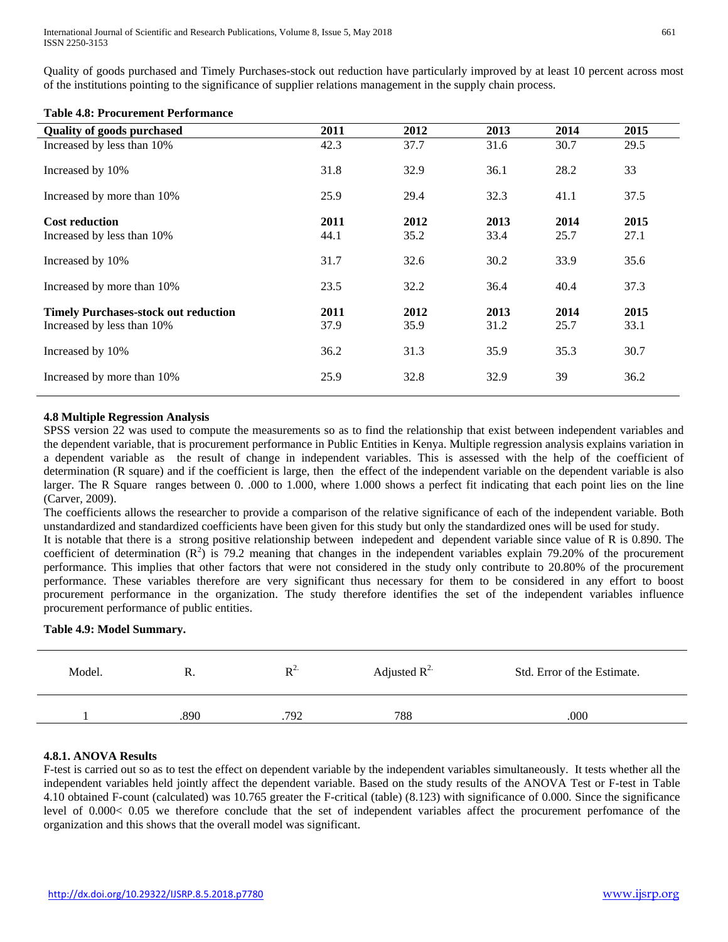International Journal of Scientific and Research Publications, Volume 8, Issue 5, May 2018 ISSN 2250-3153

Quality of goods purchased and Timely Purchases-stock out reduction have particularly improved by at least 10 percent across most of the institutions pointing to the significance of supplier relations management in the supply chain process.

#### **Table 4.8: Procurement Performance**

| <b>Quality of goods purchased</b>           | 2011 | 2012 | 2013 | 2014 | 2015 |
|---------------------------------------------|------|------|------|------|------|
| Increased by less than 10%                  | 42.3 | 37.7 | 31.6 | 30.7 | 29.5 |
| Increased by 10%                            | 31.8 | 32.9 | 36.1 | 28.2 | 33   |
| Increased by more than 10%                  | 25.9 | 29.4 | 32.3 | 41.1 | 37.5 |
| <b>Cost reduction</b>                       | 2011 | 2012 | 2013 | 2014 | 2015 |
| Increased by less than 10%                  | 44.1 | 35.2 | 33.4 | 25.7 | 27.1 |
| Increased by 10%                            | 31.7 | 32.6 | 30.2 | 33.9 | 35.6 |
| Increased by more than 10%                  | 23.5 | 32.2 | 36.4 | 40.4 | 37.3 |
| <b>Timely Purchases-stock out reduction</b> | 2011 | 2012 | 2013 | 2014 | 2015 |
| Increased by less than 10%                  | 37.9 | 35.9 | 31.2 | 25.7 | 33.1 |
| Increased by 10%                            | 36.2 | 31.3 | 35.9 | 35.3 | 30.7 |
| Increased by more than 10%                  | 25.9 | 32.8 | 32.9 | 39   | 36.2 |

## **4.8 Multiple Regression Analysis**

SPSS version 22 was used to compute the measurements so as to find the relationship that exist between independent variables and the dependent variable, that is procurement performance in Public Entities in Kenya. Multiple regression analysis explains variation in a dependent variable as the result of change in independent variables. This is assessed with the help of the coefficient of determination (R square) and if the coefficient is large, then the effect of the independent variable on the dependent variable is also larger. The R Square ranges between 0. .000 to 1.000, where 1.000 shows a perfect fit indicating that each point lies on the line (Carver*,* 2009).

The coefficients allows the researcher to provide a comparison of the relative significance of each of the independent variable. Both unstandardized and standardized coefficients have been given for this study but only the standardized ones will be used for study.

It is notable that there is a strong positive relationship between indepedent and dependent variable since value of R is 0.890. The coefficient of determination  $(R^2)$  is 79.2 meaning that changes in the independent variables explain 79.20% of the procurement performance. This implies that other factors that were not considered in the study only contribute to 20.80% of the procurement performance. These variables therefore are very significant thus necessary for them to be considered in any effort to boost procurement performance in the organization. The study therefore identifies the set of the independent variables influence procurement performance of public entities.

## **Table 4.9: Model Summary.**

| Model. | n.   | $R^2$ | Adjusted $R^2$ | Std. Error of the Estimate. |
|--------|------|-------|----------------|-----------------------------|
|        | .890 | .792  | 788            | .000                        |

## **4.8.1. ANOVA Results**

F-test is carried out so as to test the effect on dependent variable by the independent variables simultaneously. It tests whether all the independent variables held jointly affect the dependent variable. Based on the study results of the ANOVA Test or F-test in Table 4.10 obtained F-count (calculated) was 10.765 greater the F-critical (table) (8.123) with significance of 0.000. Since the significance level of 0.000< 0.05 we therefore conclude that the set of independent variables affect the procurement perfomance of the organization and this shows that the overall model was significant.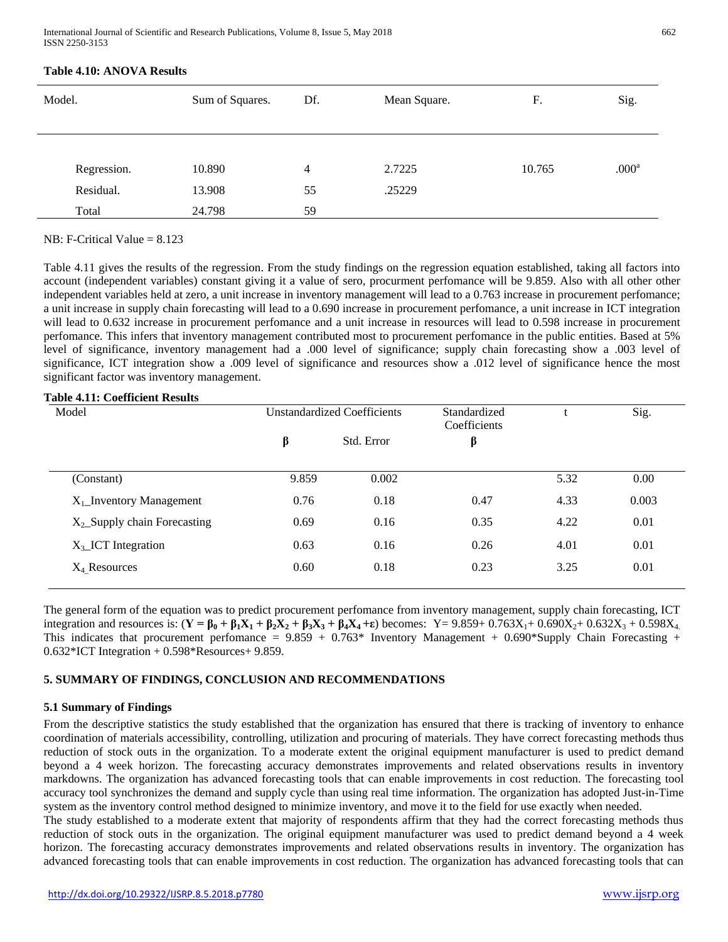| Model.      | Sum of Squares. | Df.            | Mean Square. | F.     | Sig.              |
|-------------|-----------------|----------------|--------------|--------|-------------------|
| Regression. | 10.890          | $\overline{4}$ | 2.7225       | 10.765 | .000 <sup>a</sup> |
| Residual.   | 13.908          | 55             | .25229       |        |                   |
| Total       | 24.798          | 59             |              |        |                   |

## **Table 4.10: ANOVA Results**

## NB: F-Critical Value  $= 8.123$

Table 4.11 gives the results of the regression. From the study findings on the regression equation established, taking all factors into account (independent variables) constant giving it a value of sero, procurment perfomance will be 9.859. Also with all other other independent variables held at zero, a unit increase in inventory management will lead to a 0.763 increase in procurement perfomance; a unit increase in supply chain forecasting will lead to a 0.690 increase in procurement perfomance, a unit increase in ICT integration will lead to 0.632 increase in procurement perfomance and a unit increase in resources will lead to 0.598 increase in procurement perfomance. This infers that inventory management contributed most to procurement perfomance in the public entities. Based at 5% level of significance, inventory management had a .000 level of significance; supply chain forecasting show a .003 level of significance, ICT integration show a .009 level of significance and resources show a .012 level of significance hence the most significant factor was inventory management.

## **Table 4.11: Coefficient Results**

| Model                             | <b>Unstandardized Coefficients</b> |            | Standardized<br>Coefficients |      | Sig.  |
|-----------------------------------|------------------------------------|------------|------------------------------|------|-------|
|                                   | β                                  | Std. Error | β                            |      |       |
| (Constant)                        | 9.859                              | 0.002      |                              | 5.32 | 0.00  |
| $X_1$ _Inventory Management       | 0.76                               | 0.18       | 0.47                         | 4.33 | 0.003 |
| $X_2$ _Supply chain Forecasting   | 0.69                               | 0.16       | 0.35                         | 4.22 | 0.01  |
| $X_3$ <sub>-ICT</sub> Integration | 0.63                               | 0.16       | 0.26                         | 4.01 | 0.01  |
| $X_4$ Resources                   | 0.60                               | 0.18       | 0.23                         | 3.25 | 0.01  |
|                                   |                                    |            |                              |      |       |

The general form of the equation was to predict procurement perfomance from inventory management, supply chain forecasting, ICT integration and resources is:  $(Y = \beta_0 + \beta_1 X_1 + \beta_2 X_2 + \beta_3 X_3 + \beta_4 X_4 + \epsilon)$  becomes:  $Y = 9.859 + 0.763X_1 + 0.690X_2 + 0.632X_3 + 0.598X_4$ . This indicates that procurement perfomance =  $9.859 + 0.763*$  Inventory Management + 0.690\*Supply Chain Forecasting +  $0.632*$ ICT Integration  $+0.598*$ Resources $+9.859$ .

# **5. SUMMARY OF FINDINGS, CONCLUSION AND RECOMMENDATIONS**

## **5.1 Summary of Findings**

From the descriptive statistics the study established that the organization has ensured that there is tracking of inventory to enhance coordination of materials accessibility, controlling, utilization and procuring of materials. They have correct forecasting methods thus reduction of stock outs in the organization. To a moderate extent the original equipment manufacturer is used to predict demand beyond a 4 week horizon. The forecasting accuracy demonstrates improvements and related observations results in inventory markdowns. The organization has advanced forecasting tools that can enable improvements in cost reduction. The forecasting tool accuracy tool synchronizes the demand and supply cycle than using real time information. The organization has adopted Just-in-Time system as the inventory control method designed to minimize inventory, and move it to the field for use exactly when needed.

The study established to a moderate extent that majority of respondents affirm that they had the correct forecasting methods thus reduction of stock outs in the organization. The original equipment manufacturer was used to predict demand beyond a 4 week horizon. The forecasting accuracy demonstrates improvements and related observations results in inventory. The organization has advanced forecasting tools that can enable improvements in cost reduction. The organization has advanced forecasting tools that can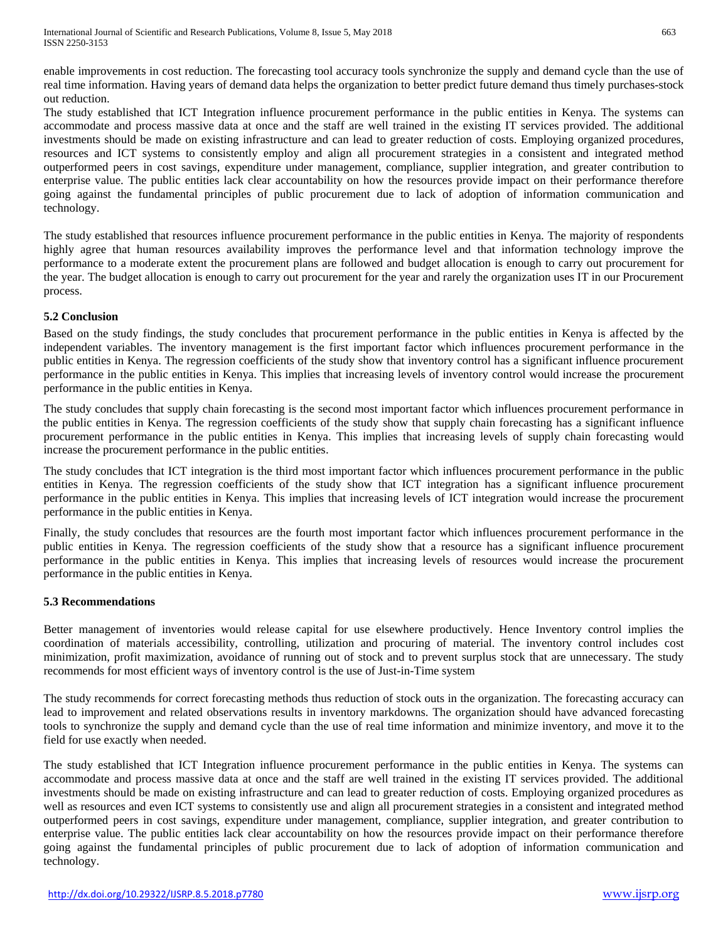enable improvements in cost reduction. The forecasting tool accuracy tools synchronize the supply and demand cycle than the use of real time information. Having years of demand data helps the organization to better predict future demand thus timely purchases-stock out reduction.

The study established that ICT Integration influence procurement performance in the public entities in Kenya. The systems can accommodate and process massive data at once and the staff are well trained in the existing IT services provided. The additional investments should be made on existing infrastructure and can lead to greater reduction of costs. Employing organized procedures, resources and ICT systems to consistently employ and align all procurement strategies in a consistent and integrated method outperformed peers in cost savings, expenditure under management, compliance, supplier integration, and greater contribution to enterprise value. The public entities lack clear accountability on how the resources provide impact on their performance therefore going against the fundamental principles of public procurement due to lack of adoption of information communication and technology.

The study established that resources influence procurement performance in the public entities in Kenya. The majority of respondents highly agree that human resources availability improves the performance level and that information technology improve the performance to a moderate extent the procurement plans are followed and budget allocation is enough to carry out procurement for the year. The budget allocation is enough to carry out procurement for the year and rarely the organization uses IT in our Procurement process.

# **5.2 Conclusion**

Based on the study findings, the study concludes that procurement performance in the public entities in Kenya is affected by the independent variables. The inventory management is the first important factor which influences procurement performance in the public entities in Kenya. The regression coefficients of the study show that inventory control has a significant influence procurement performance in the public entities in Kenya. This implies that increasing levels of inventory control would increase the procurement performance in the public entities in Kenya.

The study concludes that supply chain forecasting is the second most important factor which influences procurement performance in the public entities in Kenya. The regression coefficients of the study show that supply chain forecasting has a significant influence procurement performance in the public entities in Kenya. This implies that increasing levels of supply chain forecasting would increase the procurement performance in the public entities.

The study concludes that ICT integration is the third most important factor which influences procurement performance in the public entities in Kenya. The regression coefficients of the study show that ICT integration has a significant influence procurement performance in the public entities in Kenya. This implies that increasing levels of ICT integration would increase the procurement performance in the public entities in Kenya.

Finally, the study concludes that resources are the fourth most important factor which influences procurement performance in the public entities in Kenya. The regression coefficients of the study show that a resource has a significant influence procurement performance in the public entities in Kenya. This implies that increasing levels of resources would increase the procurement performance in the public entities in Kenya.

## **5.3 Recommendations**

Better management of inventories would release capital for use elsewhere productively. Hence Inventory control implies the coordination of materials accessibility, controlling, utilization and procuring of material. The inventory control includes cost minimization, profit maximization, avoidance of running out of stock and to prevent surplus stock that are unnecessary. The study recommends for most efficient ways of inventory control is the use of Just-in-Time system

The study recommends for correct forecasting methods thus reduction of stock outs in the organization. The forecasting accuracy can lead to improvement and related observations results in inventory markdowns. The organization should have advanced forecasting tools to synchronize the supply and demand cycle than the use of real time information and minimize inventory, and move it to the field for use exactly when needed.

The study established that ICT Integration influence procurement performance in the public entities in Kenya. The systems can accommodate and process massive data at once and the staff are well trained in the existing IT services provided. The additional investments should be made on existing infrastructure and can lead to greater reduction of costs. Employing organized procedures as well as resources and even ICT systems to consistently use and align all procurement strategies in a consistent and integrated method outperformed peers in cost savings, expenditure under management, compliance, supplier integration, and greater contribution to enterprise value. The public entities lack clear accountability on how the resources provide impact on their performance therefore going against the fundamental principles of public procurement due to lack of adoption of information communication and technology.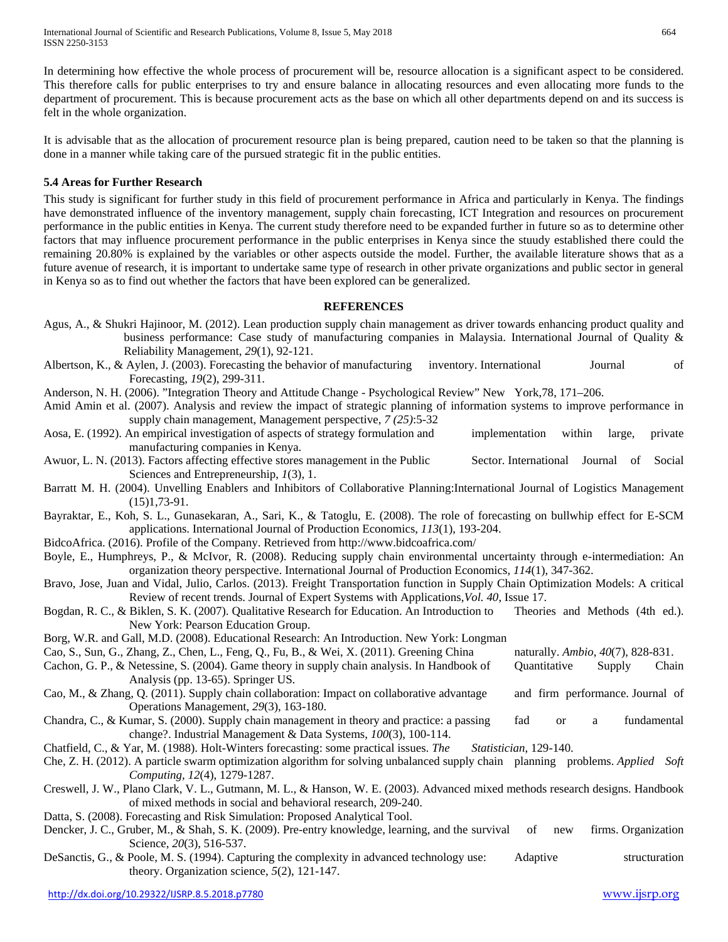In determining how effective the whole process of procurement will be, resource allocation is a significant aspect to be considered. This therefore calls for public enterprises to try and ensure balance in allocating resources and even allocating more funds to the department of procurement. This is because procurement acts as the base on which all other departments depend on and its success is felt in the whole organization.

It is advisable that as the allocation of procurement resource plan is being prepared, caution need to be taken so that the planning is done in a manner while taking care of the pursued strategic fit in the public entities.

# **5.4 Areas for Further Research**

This study is significant for further study in this field of procurement performance in Africa and particularly in Kenya. The findings have demonstrated influence of the inventory management, supply chain forecasting, ICT Integration and resources on procurement performance in the public entities in Kenya. The current study therefore need to be expanded further in future so as to determine other factors that may influence procurement performance in the public enterprises in Kenya since the stuudy established there could the remaining 20.80% is explained by the variables or other aspects outside the model. Further, the available literature shows that as a future avenue of research, it is important to undertake same type of research in other private organizations and public sector in general in Kenya so as to find out whether the factors that have been explored can be generalized.

# **REFERENCES**

- Agus, A., & Shukri Hajinoor, M. (2012). Lean production supply chain management as driver towards enhancing product quality and business performance: Case study of manufacturing companies in Malaysia. International Journal of Quality & Reliability Management, *29*(1), 92-121.
- Albertson, K., & Aylen, J. (2003). Forecasting the behavior of manufacturing inventory. International Journal of Forecasting, *19*(2), 299-311.

Anderson, N. H. (2006). "Integration Theory and Attitude Change - Psychological Review" New York,78, 171–206.

Amid Amin et al. (2007). Analysis and review the impact of strategic planning of information systems to improve performance in supply chain management, Management perspective, *7 (25)*:5-32

Aosa, E. (1992). An empirical investigation of aspects of strategy formulation and implementation within large, private manufacturing companies in Kenya.

Awuor, L. N. (2013). Factors affecting effective stores management in the Public Sector. International Journal of Social Sciences and Entrepreneurship, *1*(3), 1.

- Barratt M. H. (2004). Unvelling Enablers and Inhibitors of Collaborative Planning:International Journal of Logistics Management (15)1,73-91.
- Bayraktar, E., Koh, S. L., Gunasekaran, A., Sari, K., & Tatoglu, E. (2008). The role of forecasting on bullwhip effect for E-SCM applications. International Journal of Production Economics, *113*(1), 193-204.

BidcoAfrica. (2016). Profile of the Company. Retrieved from http://www.bidcoafrica.com/

- Boyle, E., Humphreys, P., & McIvor, R. (2008). Reducing supply chain environmental uncertainty through e-intermediation: An organization theory perspective. International Journal of Production Economics, *114*(1), 347-362.
- Bravo, Jose, Juan and Vidal, Julio, Carlos. (2013). Freight Transportation function in Supply Chain Optimization Models: A critical Review of recent trends. Journal of Expert Systems with Applications,*Vol. 40*, Issue 17.
- Bogdan, R. C., & Biklen, S. K. (2007). Qualitative Research for Education. An Introduction to Theories and Methods (4th ed.). New York: Pearson Education Group.

Borg, W.R. and Gall, M.D. (2008). Educational Research: An Introduction. New York: Longman

Cao, S., Sun, G., Zhang, Z., Chen, L., Feng, Q., Fu, B., & Wei, X. (2011). Greening China naturally. *Ambio*, *40*(7), 828-831. Cachon, G. P., & Netessine, S. (2004). Game theory in supply chain analysis. In Handbook of Quantitative Supply Chain

- Analysis (pp. 13-65). Springer US. Cao, M., & Zhang, Q. (2011). Supply chain collaboration: Impact on collaborative advantage and firm performance. Journal of Operations Management, *29*(3), 163-180.
- Chandra, C., & Kumar, S. (2000). Supply chain management in theory and practice: a passing fad or a fundamental change?. Industrial Management & Data Systems, *100*(3), 100-114.

Chatfield, C., & Yar, M. (1988). Holt-Winters forecasting: some practical issues. *The Statistician*, 129-140.

- Che, Z. H. (2012). A particle swarm optimization algorithm for solving unbalanced supply chain planning problems. *Applied Soft Computing*, *12*(4), 1279-1287.
- Creswell, J. W., Plano Clark, V. L., Gutmann, M. L., & Hanson, W. E. (2003). Advanced mixed methods research designs. Handbook of mixed methods in social and behavioral research, 209-240.
- Datta, S. (2008). Forecasting and Risk Simulation: Proposed Analytical Tool.
- Dencker, J. C., Gruber, M., & Shah, S. K. (2009). Pre-entry knowledge, learning, and the survival of new firms. Organization Science, *20*(3), 516-537.
- DeSanctis, G., & Poole, M. S. (1994). Capturing the complexity in advanced technology use: Adaptive structuration theory. Organization science, *5*(2), 121-147.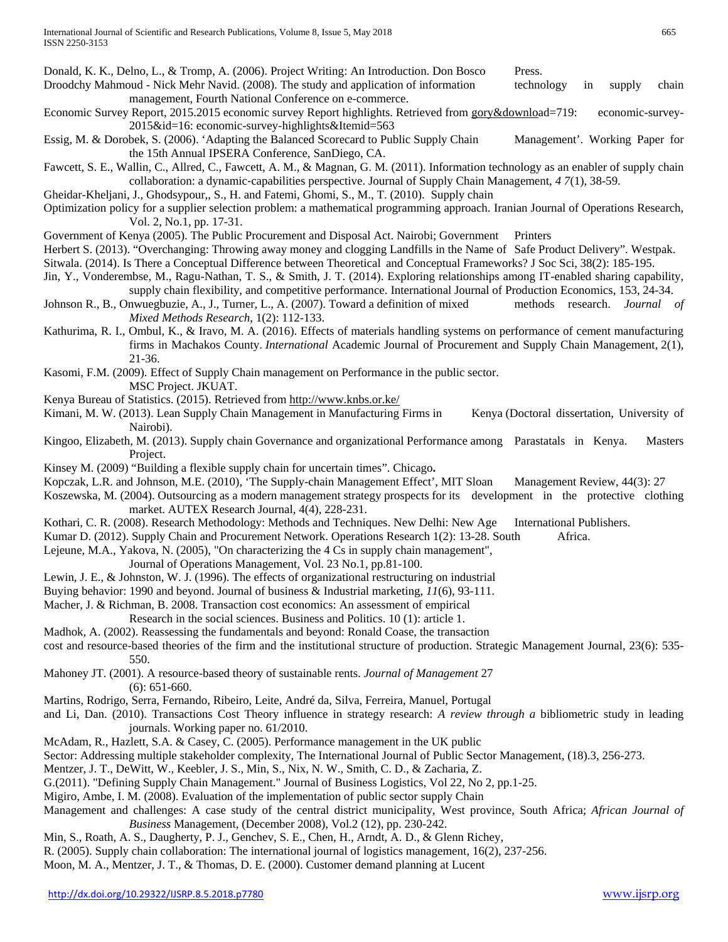- Donald, K. K., Delno, L., & Tromp, A. (2006). Project Writing: An Introduction. Don Bosco Press.
- Droodchy Mahmoud Nick Mehr Navid. (2008). The study and application of information technology in supply chain management, Fourth National Conference on e-commerce.
- Economic Survey Report, 2015.2015 economic survey Report highlights. Retrieved from [gory&downloa](http://www.knbs.or.ke/index.php?option=com_phocadownload&view=category&downlo)d=719: economic-survey-2015&id=16: economic-survey-highlights&Itemid=563
- Essig, M. & Dorobek, S. (2006). 'Adapting the Balanced Scorecard to Public Supply Chain Management'. Working Paper for the 15th Annual IPSERA Conference, SanDiego, CA.
- Fawcett, S. E., Wallin, C., Allred, C., Fawcett, A. M., & Magnan, G. M. (2011). Information technology as an enabler of supply chain collaboration: a dynamic‐capabilities perspective. Journal of Supply Chain Management, *4 7*(1), 38-59.

Gheidar-Kheljani, J., Ghodsypour,, S., H. and Fatemi, Ghomi, S., M., T. (2010). Supply chain

- Optimization policy for a supplier selection problem: a mathematical programming approach. Iranian Journal of Operations Research, Vol. 2, No.1, pp. 17-31.
- Government of Kenya (2005). The Public Procurement and Disposal Act. Nairobi; Government Printers
- Herbert S. (2013). "Overchanging: Throwing away money and clogging Landfills in the Name of Safe Product Delivery". Westpak.
- Sitwala. (2014). Is There a Conceptual Difference between Theoretical and Conceptual Frameworks? J Soc Sci, 38(2): 185-195.
- Jin, Y., Vonderembse, M., Ragu-Nathan, T. S., & Smith, J. T. (2014). Exploring relationships among IT-enabled sharing capability, supply chain flexibility, and competitive performance. International Journal of Production Economics, 153, 24-34.
- Johnson R., B., Onwuegbuzie, A., J., Turner, L., A. (2007). Toward a definition of mixed methods research. *Journal of Mixed Methods Research*, 1(2): 112-133.
- Kathurima, R. I., Ombul, K., & Iravo, M. A. (2016). Effects of materials handling systems on performance of cement manufacturing firms in Machakos County. *International* Academic Journal of Procurement and Supply Chain Management, 2(1), 21-36.
- Kasomi, F.M. (2009). Effect of Supply Chain management on Performance in the public sector. MSC Project. JKUAT.
- Kenya Bureau of Statistics. (2015). Retrieved fro[m http://www.knbs.or.ke/](http://www.knbs.or.ke/)
- Kimani, M. W. (2013). Lean Supply Chain Management in Manufacturing Firms in Kenya (Doctoral dissertation, University of Nairobi).
- Kingoo, Elizabeth, M. (2013). Supply chain Governance and organizational Performance among Parastatals in Kenya. Masters Project.
- Kinsey M. (2009) ["Building a flexible supply chain for uncertain times"](http://www.mckinsey.com/insights/operations/building_a_flexible_supply_chain_for_uncertain_times). Chicago**.**
- Kopczak, L.R. and Johnson, M.E. (2010), 'The Supply-chain Management Effect', MIT Sloan Management Review, 44(3): 27
- Koszewska, M. (2004). Outsourcing as a modern management strategy prospects for its development in the protective clothing market. AUTEX Research Journal, 4(4), 228-231.
- Kothari, C. R. (2008). Research Methodology: Methods and Techniques. New Delhi: New Age International Publishers.
- Kumar D. (2012). Supply Chain and Procurement Network. Operations Research 1(2): 13-28. South Africa.
- Lejeune, M.A., Yakova, N. (2005), "On characterizing the 4 Cs in supply chain management",
	- Journal of Operations Management, Vol. 23 No.1, pp.81-100.
- Lewin, J. E., & Johnston, W. J. (1996). The effects of organizational restructuring on industrial
- Buying behavior: 1990 and beyond. Journal of business & Industrial marketing, *11*(6), 93-111.
- Macher, J. & Richman, B. 2008. Transaction cost economics: An assessment of empirical
	- Research in the social sciences. Business and Politics. 10 (1): article 1.
- Madhok, A. (2002). Reassessing the fundamentals and beyond: Ronald Coase, the transaction
- cost and resource-based theories of the firm and the institutional structure of production. Strategic Management Journal*,* 23(6): 535- 550.
- Mahoney JT. (2001). A resource-based theory of sustainable rents. *Journal of Management* 27 (6): 651-660.
- Martins, Rodrigo, Serra, Fernando, Ribeiro, Leite, André da, Silva, Ferreira, Manuel, Portugal
- and Li, Dan. (2010). Transactions Cost Theory influence in strategy research: *A review through a* bibliometric study in leading journals. Working paper no. 61/2010.
- McAdam, R., Hazlett, S.A. & Casey, C. (2005). Performance management in the UK public
- Sector: Addressing multiple stakeholder complexity, The International Journal of Public Sector Management, (18).3, 256-273.
- Mentzer, J. T., DeWitt, W., Keebler, J. S., Min, S., Nix, N. W., Smith, C. D., & Zacharia, Z.
- G.(2011). "Defining Supply Chain Management." Journal of Business Logistics, Vol 22, No 2, pp.1-25.
- Migiro, Ambe, I. M. (2008). Evaluation of the implementation of public sector supply Chain
- Management and challenges: A case study of the central district municipality, West province, South Africa; *African Journal of Business* Management, (December 2008), Vol.2 (12), pp. 230-242.
- Min, S., Roath, A. S., Daugherty, P. J., Genchev, S. E., Chen, H., Arndt, A. D., & Glenn Richey,
- R. (2005). Supply chain collaboration: The international journal of logistics management, 16(2), 237-256.
- Moon, M. A., Mentzer, J. T., & Thomas, D. E. (2000). Customer demand planning at Lucent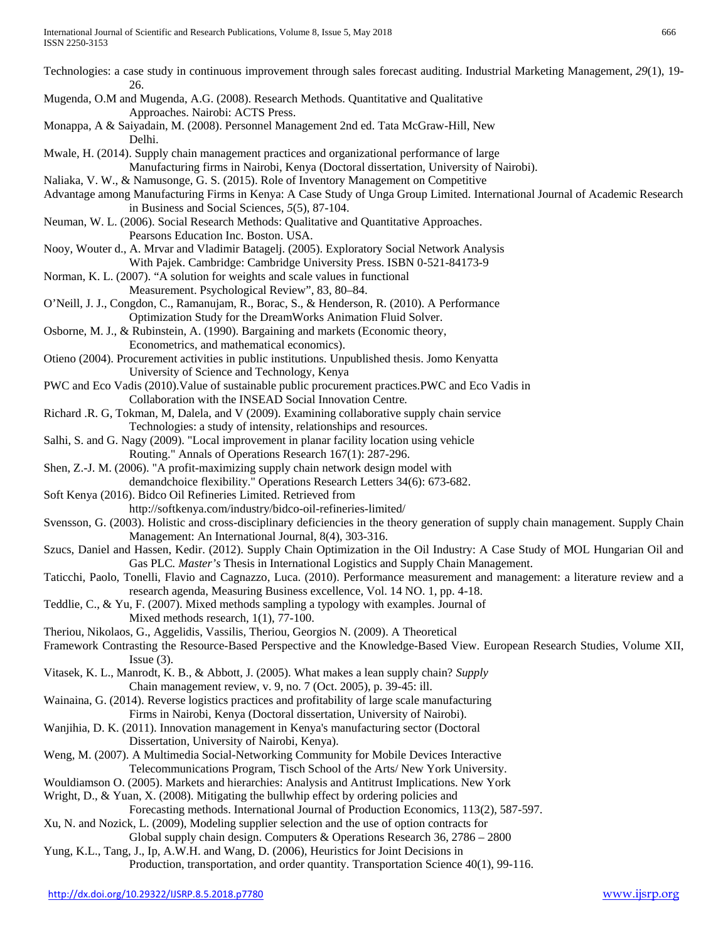| Technologies: a case study in continuous improvement through sales forecast auditing. Industrial Marketing Management, 29(1), 19-<br>26.                                             |
|--------------------------------------------------------------------------------------------------------------------------------------------------------------------------------------|
| Mugenda, O.M and Mugenda, A.G. (2008). Research Methods. Quantitative and Qualitative<br>Approaches. Nairobi: ACTS Press.                                                            |
| Monappa, A & Saiyadain, M. (2008). Personnel Management 2nd ed. Tata McGraw-Hill, New<br>Delhi.                                                                                      |
| Mwale, H. (2014). Supply chain management practices and organizational performance of large<br>Manufacturing firms in Nairobi, Kenya (Doctoral dissertation, University of Nairobi). |
| Naliaka, V. W., & Namusonge, G. S. (2015). Role of Inventory Management on Competitive                                                                                               |
| Advantage among Manufacturing Firms in Kenya: A Case Study of Unga Group Limited. International Journal of Academic Research                                                         |
| in Business and Social Sciences, 5(5), 87-104.                                                                                                                                       |
| Neuman, W. L. (2006). Social Research Methods: Qualitative and Quantitative Approaches.                                                                                              |
| Pearsons Education Inc. Boston. USA.                                                                                                                                                 |
| Nooy, Wouter d., A. Mrvar and Vladimir Batagelj. (2005). Exploratory Social Network Analysis                                                                                         |
| With Pajek. Cambridge: Cambridge University Press. ISBN 0-521-84173-9                                                                                                                |
| Norman, K. L. (2007). "A solution for weights and scale values in functional                                                                                                         |
| Measurement. Psychological Review", 83, 80-84.                                                                                                                                       |
| O'Neill, J. J., Congdon, C., Ramanujam, R., Borac, S., & Henderson, R. (2010). A Performance                                                                                         |
| Optimization Study for the DreamWorks Animation Fluid Solver.                                                                                                                        |
| Osborne, M. J., & Rubinstein, A. (1990). Bargaining and markets (Economic theory,                                                                                                    |
| Econometrics, and mathematical economics).                                                                                                                                           |
| Otieno (2004). Procurement activities in public institutions. Unpublished thesis. Jomo Kenyatta                                                                                      |
| University of Science and Technology, Kenya                                                                                                                                          |
| PWC and Eco Vadis (2010). Value of sustainable public procurement practices. PWC and Eco Vadis in                                                                                    |
| Collaboration with the INSEAD Social Innovation Centre.                                                                                                                              |
| Richard .R. G, Tokman, M, Dalela, and V (2009). Examining collaborative supply chain service                                                                                         |
| Technologies: a study of intensity, relationships and resources.                                                                                                                     |
| Salhi, S. and G. Nagy (2009). "Local improvement in planar facility location using vehicle                                                                                           |
| Routing." Annals of Operations Research 167(1): 287-296.                                                                                                                             |
| Shen, Z.-J. M. (2006). "A profit-maximizing supply chain network design model with                                                                                                   |
| demandchoice flexibility." Operations Research Letters 34(6): 673-682.                                                                                                               |
| Soft Kenya (2016). Bidco Oil Refineries Limited. Retrieved from                                                                                                                      |
| http://softkenya.com/industry/bidco-oil-refineries-limited/                                                                                                                          |
| Svensson, G. (2003). Holistic and cross-disciplinary deficiencies in the theory generation of supply chain management. Supply Chain                                                  |
| Management: An International Journal, 8(4), 303-316.                                                                                                                                 |
| Szucs, Daniel and Hassen, Kedir. (2012). Supply Chain Optimization in the Oil Industry: A Case Study of MOL Hungarian Oil and                                                        |
| Gas PLC. Master's Thesis in International Logistics and Supply Chain Management.                                                                                                     |
| Taticchi, Paolo, Tonelli, Flavio and Cagnazzo, Luca. (2010). Performance measurement and management: a literature review and a                                                       |
| research agenda, Measuring Business excellence, Vol. 14 NO. 1, pp. 4-18.                                                                                                             |
| Teddlie, C., & Yu, F. (2007). Mixed methods sampling a typology with examples. Journal of                                                                                            |
| Mixed methods research, $1(1)$ , 77-100.                                                                                                                                             |
| Theriou, Nikolaos, G., Aggelidis, Vassilis, Theriou, Georgios N. (2009). A Theoretical                                                                                               |
| Framework Contrasting the Resource-Based Perspective and the Knowledge-Based View. European Research Studies, Volume XII,                                                            |
| $Issue(3)$ .                                                                                                                                                                         |
| Vitasek, K. L., Manrodt, K. B., & Abbott, J. (2005). What makes a lean supply chain? Supply                                                                                          |
| Chain management review, v. 9, no. 7 (Oct. 2005), p. 39-45: ill.                                                                                                                     |
| Wainaina, G. (2014). Reverse logistics practices and profitability of large scale manufacturing                                                                                      |
| Firms in Nairobi, Kenya (Doctoral dissertation, University of Nairobi).                                                                                                              |
| Wanjihia, D. K. (2011). Innovation management in Kenya's manufacturing sector (Doctoral                                                                                              |
| Dissertation, University of Nairobi, Kenya).                                                                                                                                         |
| Weng, M. (2007). A Multimedia Social-Networking Community for Mobile Devices Interactive                                                                                             |
| Telecommunications Program, Tisch School of the Arts/ New York University.                                                                                                           |
| Wouldiamson O. (2005). Markets and hierarchies: Analysis and Antitrust Implications. New York                                                                                        |
| Wright, D., & Yuan, X. (2008). Mitigating the bullwhip effect by ordering policies and                                                                                               |
| Forecasting methods. International Journal of Production Economics, 113(2), 587-597.                                                                                                 |
| Xu, N. and Nozick, L. (2009), Modeling supplier selection and the use of option contracts for                                                                                        |
| Global supply chain design. Computers & Operations Research 36, 2786 - 2800                                                                                                          |
| Yung, K.L., Tang, J., Ip, A.W.H. and Wang, D. (2006), Heuristics for Joint Decisions in                                                                                              |
| Production, transportation, and order quantity. Transportation Science 40(1), 99-116.                                                                                                |